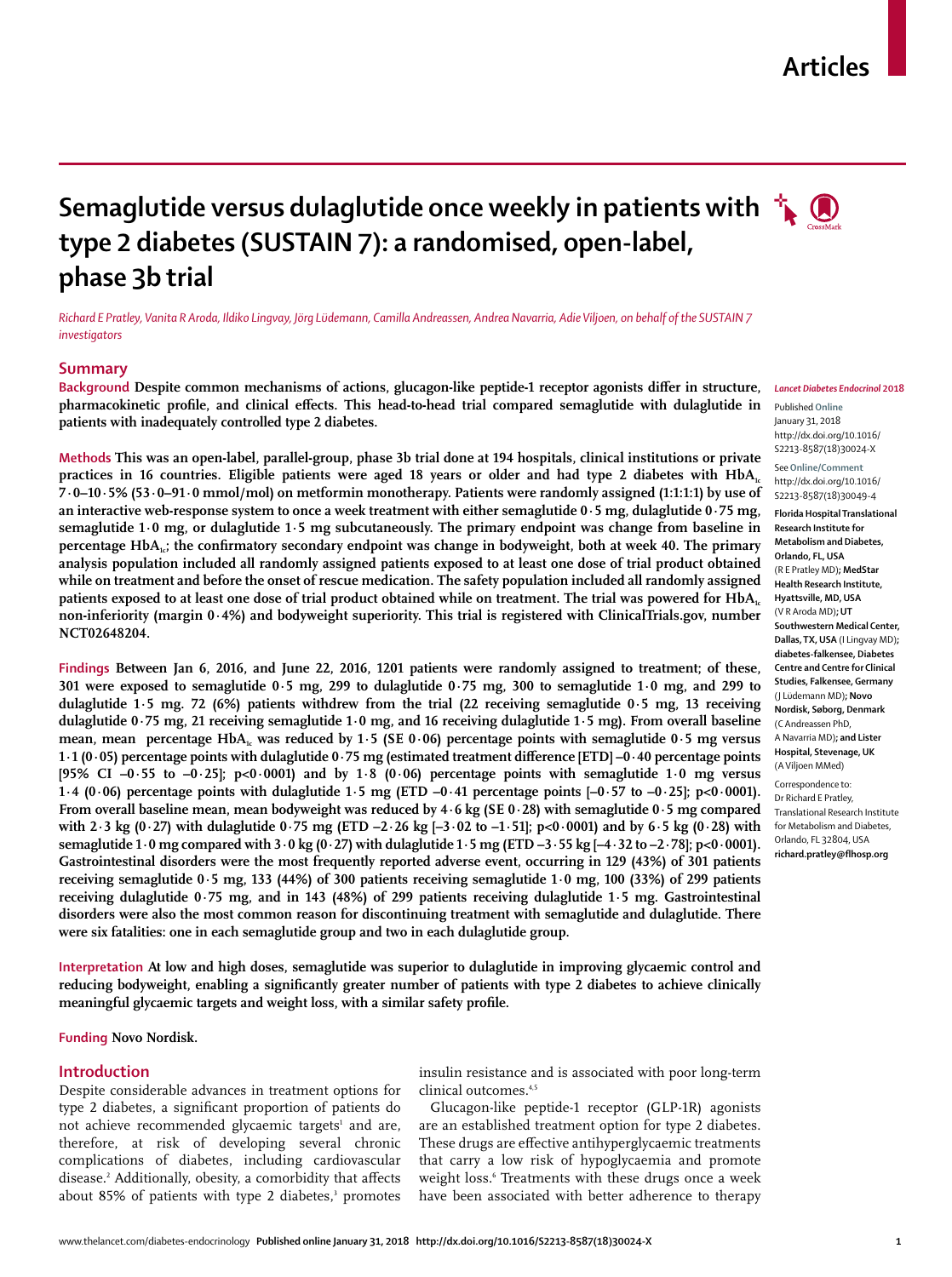## **Articles**

# **Semaglutide versus dulaglutide once weekly in patients with**  $\mathbf{A}$ **type 2 diabetes (SUSTAIN 7): a randomised, open-label, phase 3b trial**

*Richard E Pratley, Vanita R Aroda, Ildiko Lingvay, Jörg Lüdemann, Camilla Andreassen, Andrea Navarria, Adie Viljoen, on behalf of the SUSTAIN 7 investigators*

## **Summary**

**Background Despite common mechanisms of actions, glucagon-like peptide-1 receptor agonists differ in structure, pharmacokinetic profile, and clinical effects. This head-to-head trial compared semaglutide with dulaglutide in patients with inadequately controlled type 2 diabetes.**

**Methods This was an open-label, parallel-group, phase 3b trial done at 194 hospitals, clinical institutions or private practices in 16 countries. Eligible patients were aged 18 years or older and had type 2 diabetes with HbA<sub>1c</sub> 7·0–10·5% (53·0–91·0 mmol/mol) on metformin monotherapy. Patients were randomly assigned (1:1:1:1) by use of an interactive web-response system to once a week treatment with either semaglutide 0·5 mg, dulaglutide 0·75 mg, semaglutide 1·0 mg, or dulaglutide 1·5 mg subcutaneously. The primary endpoint was change from baseline in percentage HbA<sub>1c</sub>; the confirmatory secondary endpoint was change in bodyweight, both at week 40. The primary analysis population included all randomly assigned patients exposed to at least one dose of trial product obtained while on treatment and before the onset of rescue medication. The safety population included all randomly assigned**  patients exposed to at least one dose of trial product obtained while on treatment. The trial was powered for HbA<sub>1c</sub> **non-inferiority (margin 0·4%) and bodyweight superiority. This trial is registered with ClinicalTrials.gov, number NCT02648204.**

**Findings Between Jan 6, 2016, and June 22, 2016, 1201 patients were randomly assigned to treatment; of these, 301 were exposed to semaglutide 0·5 mg, 299 to dulaglutide 0·75 mg, 300 to semaglutide 1·0 mg, and 299 to dulaglutide 1·5 mg. 72 (6%) patients withdrew from the trial (22 receiving semaglutide 0·5 mg, 13 receiving dulaglutide 0·75 mg, 21 receiving semaglutide 1·0 mg, and 16 receiving dulaglutide 1·5 mg). From overall baseline mean, mean percentage HbA<sub>1c</sub> was reduced by 1.5 (SE 0.06) percentage points with semaglutide 0.5 mg versus 1·1 (0·05) percentage points with dulaglutide 0·75 mg (estimated treatment difference [ETD] –0·40 percentage points [95% CI –0·55 to –0·25]; p<0·0001) and by 1·8 (0·06) percentage points with semaglutide 1·0 mg versus 1·4 (0·06) percentage points with dulaglutide 1·5 mg (ETD –0·41 percentage points [–0·57 to –0·25]; p<0·0001). From overall baseline mean, mean bodyweight was reduced by 4·6 kg (SE 0·28) with semaglutide 0·5 mg compared with 2·3 kg (0·27) with dulaglutide 0·75 mg (ETD –2·26 kg [–3·02 to –1·51]; p<0·0001) and by 6·5 kg (0·28) with semaglutide 1·0 mg compared with 3·0 kg (0·27) with dulaglutide 1·5 mg (ETD –3·55 kg [–4·32 to –2·78]; p<0·0001). Gastrointestinal disorders were the most frequently reported adverse event, occurring in 129 (43%) of 301 patients receiving semaglutide 0·5 mg, 133 (44%) of 300 patients receiving semaglutide 1·0 mg, 100 (33%) of 299 patients receiving dulaglutide 0·75 mg, and in 143 (48%) of 299 patients receiving dulaglutide 1·5 mg. Gastrointestinal disorders were also the most common reason for discontinuing treatment with semaglutide and dulaglutide. There were six fatalities: one in each semaglutide group and two in each dulaglutide group.**

**Interpretation At low and high doses, semaglutide was superior to dulaglutide in improving glycaemic control and reducing bodyweight, enabling a significantly greater number of patients with type 2 diabetes to achieve clinically meaningful glycaemic targets and weight loss, with a similar safety profile.**

**Funding Novo Nordisk.**

#### **Introduction**

Despite considerable advances in treatment options for type 2 diabetes, a significant proportion of patients do not achieve recommended glycaemic targets<sup>1</sup> and are, therefore, at risk of developing several chronic complications of diabetes, including cardiovascular disease.2 Additionally, obesity, a comorbidity that affects about 85% of patients with type 2 diabetes,<sup>3</sup> promotes insulin resistance and is associated with poor long-term clinical outcomes.4,5

Glucagon-like peptide-1 receptor (GLP-1R) agonists are an established treatment option for type 2 diabetes. These drugs are effective antihyperglycaemic treatments that carry a low risk of hypoglycaemia and promote weight loss.<sup>6</sup> Treatments with these drugs once a week have been associated with better adherence to therapy

Published **Online** January 31, 2018 http://dx.doi.org/10.1016/ S2213-8587(18)30024-X

See**Online/Comment** http://dx.doi.org/10.1016/ S2213-8587(18)30049-4

**Florida Hospital Translational Research Institute for Metabolism and Diabetes, Orlando, FL, USA** (R E Pratley MD)**; MedStar Health Research Institute, Hyattsville, MD, USA** (V R Aroda MD)**; UT Southwestern Medical Center, Dallas, TX, USA** (I Lingvay MD)**; diabetes-falkensee, Diabetes Centre and Centre for Clinical Studies, Falkensee, Germany**  (J Lüdemann MD)**; Novo Nordisk, Søborg, Denmark** (C Andreassen PhD, A Navarria MD)**; and Lister Hospital, Stevenage, UK**  (A Viljoen MMed)

Correspondence to: Dr Richard E Pratley, Translational Research Institute for Metabolism and Diabetes, Orlando, FL 32804, USA **richard.pratley@flhosp.org**

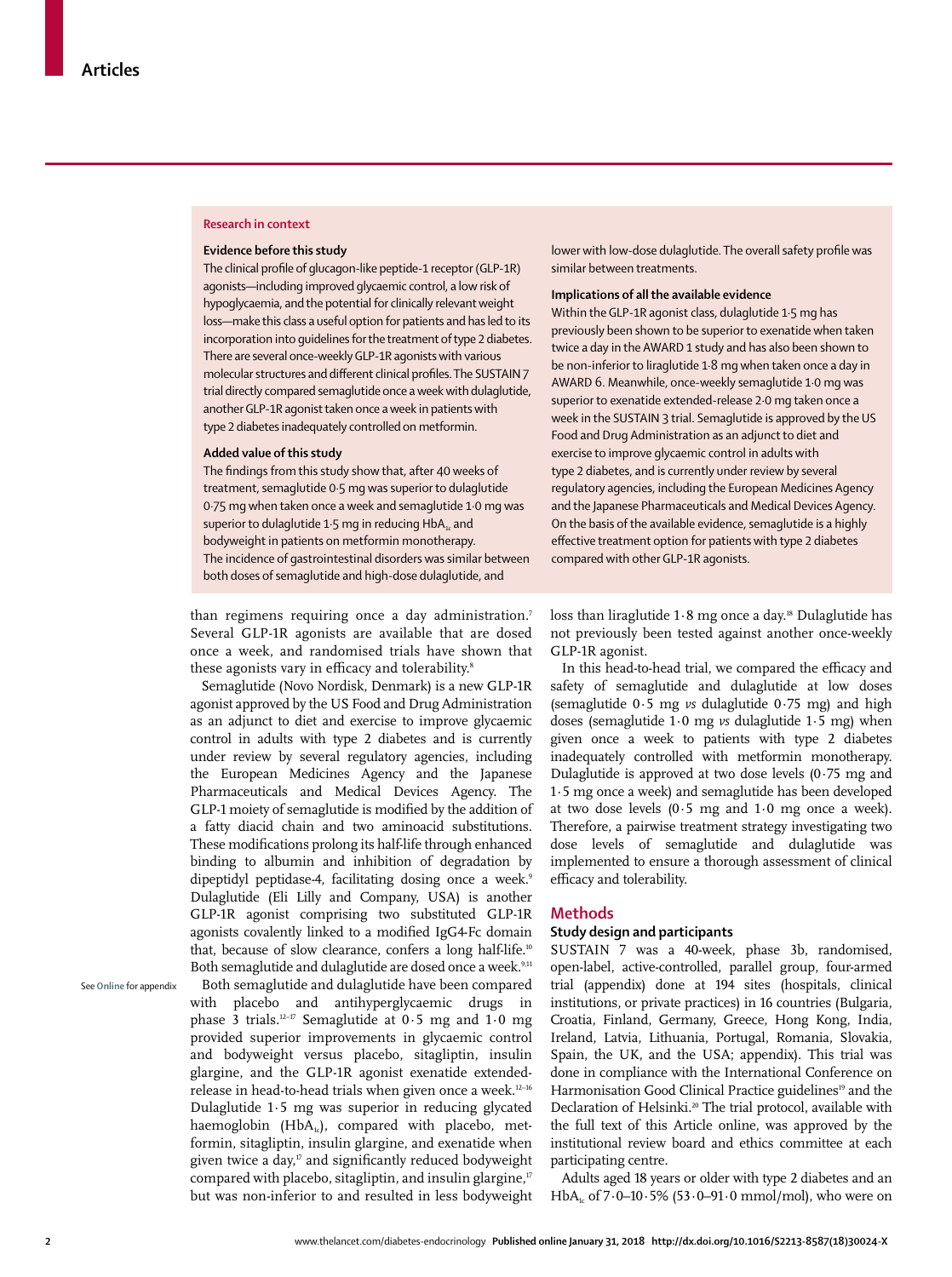#### **Research in context**

#### **Evidence before this study**

The clinical profile of glucagon-like peptide-1 receptor (GLP-1R) agonists—including improved glycaemic control, a low risk of hypoglycaemia, and the potential for clinically relevant weight loss—make this class a useful option for patients and has led to its incorporation into guidelines for the treatment of type 2 diabetes. There are several once-weekly GLP-1R agonists with various molecular structures and different clinical profiles. The SUSTAIN 7 trial directly compared semaglutide once a week with dulaglutide, another GLP-1R agonist taken once a week in patients with type 2 diabetes inadequately controlled on metformin.

#### **Added value of this study**

The findings from this study show that, after 40 weeks of treatment, semaglutide 0·5 mg was superior to dulaglutide 0·75 mg when taken once a week and semaglutide 1·0 mg was superior to dulaglutide 1.5 mg in reducing  $HbA<sub>1c</sub>$  and bodyweight in patients on metformin monotherapy. The incidence of gastrointestinal disorders was similar between both doses of semaglutide and high-dose dulaglutide, and

lower with low-dose dulaglutide. The overall safety profile was similar between treatments.

## **Implications of all the available evidence**

Within the GLP-1R agonist class, dulaglutide 1·5 mg has previously been shown to be superior to exenatide when taken twice a day in the AWARD 1 study and has also been shown to be non-inferior to liraglutide 1·8 mg when taken once a day in AWARD 6. Meanwhile, once-weekly semaglutide 1·0 mg was superior to exenatide extended-release 2·0 mg taken once a week in the SUSTAIN 3 trial. Semaglutide is approved by the US Food and Drug Administration as an adjunct to diet and exercise to improve glycaemic control in adults with type 2 diabetes, and is currently under review by several regulatory agencies, including the European Medicines Agency and the Japanese Pharmaceuticals and Medical Devices Agency. On the basis of the available evidence, semaglutide is a highly effective treatment option for patients with type 2 diabetes compared with other GLP-1R agonists.

than regimens requiring once a day administration.<sup>7</sup> Several GLP-1R agonists are available that are dosed once a week, and randomised trials have shown that these agonists vary in efficacy and tolerability.<sup>8</sup>

Semaglutide (Novo Nordisk, Denmark) is a new GLP-1R agonist approved by the US Food and Drug Administration as an adjunct to diet and exercise to improve glycaemic control in adults with type 2 diabetes and is currently under review by several regulatory agencies, including the European Medicines Agency and the Japanese Pharmaceuticals and Medical Devices Agency. The GLP-1 moiety of semaglutide is modified by the addition of a fatty diacid chain and two aminoacid substitutions. These modifications prolong its half-life through enhanced binding to albumin and inhibition of degradation by dipeptidyl peptidase-4, facilitating dosing once a week.<sup>9</sup> Dulaglutide (Eli Lilly and Company, USA) is another GLP-1R agonist comprising two substituted GLP-1R agonists covalently linked to a modified IgG4-Fc domain that, because of slow clearance, confers a long half-life.<sup>10</sup> Both semaglutide and dulaglutide are dosed once a week.<sup>9,11</sup>

See **Online** for appendix

Both semaglutide and dulaglutide have been compared with placebo and antihyperglycaemic drugs in phase 3 trials.<sup>12-17</sup> Semaglutide at  $0.5$  mg and  $1.0$  mg provided superior improvements in glycaemic control and bodyweight versus placebo, sitagliptin, insulin glargine, and the GLP-1R agonist exenatide extendedrelease in head-to-head trials when given once a week.12–16 Dulaglutide 1·5 mg was superior in reducing glycated haemoglobin ( $HbA_{1c}$ ), compared with placebo, metformin, sitagliptin, insulin glargine, and exenatide when given twice a day, $\eta$  and significantly reduced bodyweight compared with placebo, sitagliptin, and insulin glargine,<sup>17</sup> but was non-inferior to and resulted in less bodyweight loss than liraglutide  $1.8$  mg once a day.<sup>18</sup> Dulaglutide has not previously been tested against another once-weekly GLP-1R agonist.

In this head-to-head trial, we compared the efficacy and safety of semaglutide and dulaglutide at low doses (semaglutide 0·5 mg *vs* dulaglutide 0·75 mg) and high doses (semaglutide 1·0 mg *vs* dulaglutide 1·5 mg) when given once a week to patients with type 2 diabetes inadequately controlled with metformin monotherapy. Dulaglutide is approved at two dose levels (0·75 mg and 1·5 mg once a week) and semaglutide has been developed at two dose levels  $(0.5 \text{ mg and } 1.0 \text{ mg once a week}).$ Therefore, a pairwise treatment strategy investigating two dose levels of semaglutide and dulaglutide was implemented to ensure a thorough assessment of clinical efficacy and tolerability.

## **Methods**

## **Study design and participants**

SUSTAIN 7 was a 40-week, phase 3b, randomised, open-label, active-controlled, parallel group, four-armed trial (appendix) done at 194 sites (hospitals, clinical institutions, or private practices) in 16 countries (Bulgaria, Croatia, Finland, Germany, Greece, Hong Kong, India, Ireland, Latvia, Lithuania, Portugal, Romania, Slovakia, Spain, the UK, and the USA; appendix). This trial was done in compliance with the International Conference on Harmonisation Good Clinical Practice guidelines<sup>19</sup> and the Declaration of Helsinki.<sup>20</sup> The trial protocol, available with the full text of this Article online, was approved by the institutional review board and ethics committee at each participating centre.

Adults aged 18 years or older with type 2 diabetes and an  $HbA<sub>i</sub>$  of 7·0–10·5% (53·0–91·0 mmol/mol), who were on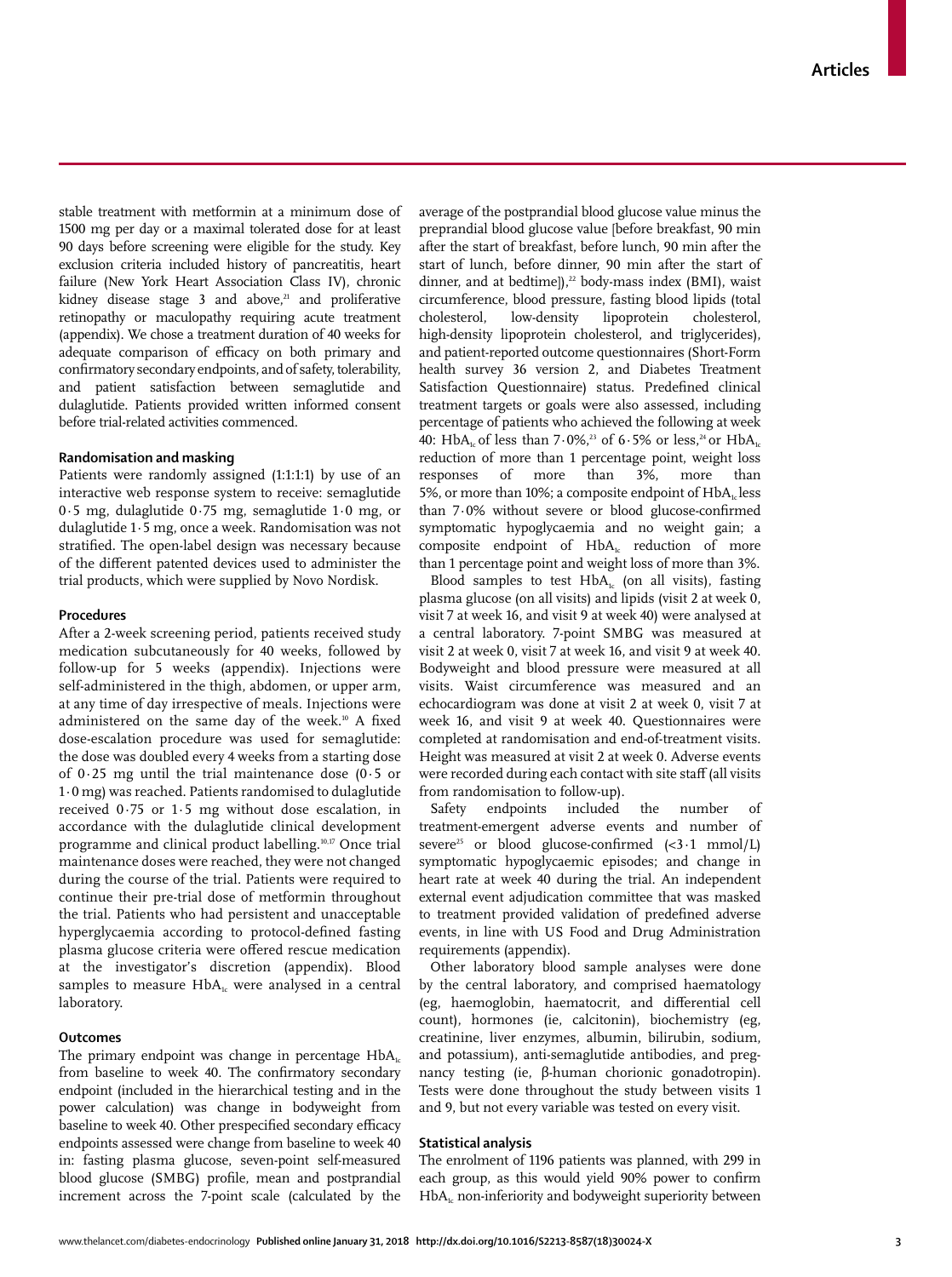stable treatment with metformin at a minimum dose of 1500 mg per day or a maximal tolerated dose for at least 90 days before screening were eligible for the study. Key exclusion criteria included history of pancreatitis, heart failure (New York Heart Association Class IV), chronic kidney disease stage  $3$  and above,<sup>21</sup> and proliferative retinopathy or maculopathy requiring acute treatment (appendix). We chose a treatment duration of 40 weeks for adequate comparison of efficacy on both primary and confirmatory secondary endpoints, and of safety, tolerability, and patient satisfaction between semaglutide and dulaglutide. Patients provided written informed consent before trial-related activities commenced.

## **Randomisation and masking**

Patients were randomly assigned (1:1:1:1) by use of an interactive web response system to receive: semaglutide 0·5 mg, dulaglutide 0·75 mg, semaglutide 1·0 mg, or dulaglutide 1·5 mg, once a week. Randomisation was not stratified. The open-label design was necessary because of the different patented devices used to administer the trial products, which were supplied by Novo Nordisk.

#### **Procedures**

After a 2-week screening period, patients received study medication subcutaneously for 40 weeks, followed by follow-up for 5 weeks (appendix). Injections were self-administered in the thigh, abdomen, or upper arm, at any time of day irrespective of meals. Injections were administered on the same day of the week.10 A fixed dose-escalation procedure was used for semaglutide: the dose was doubled every 4 weeks from a starting dose of 0·25 mg until the trial maintenance dose (0·5 or 1·0 mg) was reached. Patients randomised to dulaglutide received 0·75 or 1·5 mg without dose escalation, in accordance with the dulaglutide clinical development programme and clinical product labelling.10,17 Once trial maintenance doses were reached, they were not changed during the course of the trial. Patients were required to continue their pre-trial dose of metformin throughout the trial. Patients who had persistent and unacceptable hyperglycaemia according to protocol-defined fasting plasma glucose criteria were offered rescue medication at the investigator's discretion (appendix). Blood samples to measure  $HbA_i$ , were analysed in a central laboratory.

## **Outcomes**

The primary endpoint was change in percentage  $HbA_{1c}$ from baseline to week 40. The confirmatory secondary endpoint (included in the hierarchical testing and in the power calculation) was change in bodyweight from baseline to week 40. Other prespecified secondary efficacy endpoints assessed were change from baseline to week 40 in: fasting plasma glucose, seven-point self-measured blood glucose (SMBG) profile, mean and postprandial increment across the 7-point scale (calculated by the average of the postprandial blood glucose value minus the preprandial blood glucose value [before breakfast, 90 min after the start of breakfast, before lunch, 90 min after the start of lunch, before dinner, 90 min after the start of dinner, and at bedtime]), $^{22}$  body-mass index (BMI), waist circumference, blood pressure, fasting blood lipids (total cholesterol, low-density lipoprotein cholesterol, high-density lipoprotein cholesterol, and triglycerides), and patient-reported outcome questionnaires (Short-Form health survey 36 version 2, and Diabetes Treatment Satisfaction Questionnaire) status. Predefined clinical treatment targets or goals were also assessed, including percentage of patients who achieved the following at week 40: HbA<sub>1c</sub> of less than 7·0%,<sup>23</sup> of 6·5% or less,<sup>24</sup> or HbA<sub>1c</sub> reduction of more than 1 percentage point, weight loss responses of more than 3%, more than 5%, or more than 10%; a composite endpoint of  $HbA<sub>i</sub>$  less than 7·0% without severe or blood glucose-confirmed symptomatic hypoglycaemia and no weight gain; a composite endpoint of  $HbA_1$  reduction of more than 1 percentage point and weight loss of more than 3%.

Blood samples to test  $HbA<sub>1c</sub>$  (on all visits), fasting plasma glucose (on all visits) and lipids (visit 2 at week 0, visit 7 at week 16, and visit 9 at week 40) were analysed at a central laboratory. 7-point SMBG was measured at visit 2 at week 0, visit 7 at week 16, and visit 9 at week 40. Bodyweight and blood pressure were measured at all visits. Waist circumference was measured and an echocardiogram was done at visit 2 at week 0, visit 7 at week 16, and visit 9 at week 40. Questionnaires were completed at randomisation and end-of-treatment visits. Height was measured at visit 2 at week 0. Adverse events were recorded during each contact with site staff (all visits from randomisation to follow-up).

Safety endpoints included the number of treatment-emergent adverse events and number of severe<sup>25</sup> or blood glucose-confirmed  $( $3.1 \text{ mmol/L}$ )$ symptomatic hypoglycaemic episodes; and change in heart rate at week 40 during the trial. An independent external event adjudication committee that was masked to treatment provided validation of predefined adverse events, in line with US Food and Drug Administration requirements (appendix).

Other laboratory blood sample analyses were done by the central laboratory, and comprised haematology (eg, haemoglobin, haematocrit, and differential cell count), hormones (ie, calcitonin), biochemistry (eg, creatinine, liver enzymes, albumin, bilirubin, sodium, and potassium), anti-semaglutide antibodies, and pregnancy testing (ie, β-human chorionic gonadotropin). Tests were done throughout the study between visits 1 and 9, but not every variable was tested on every visit.

## **Statistical analysis**

The enrolment of 1196 patients was planned, with 299 in each group, as this would yield 90% power to confirm  $HbA<sub>i</sub>$  non-inferiority and bodyweight superiority between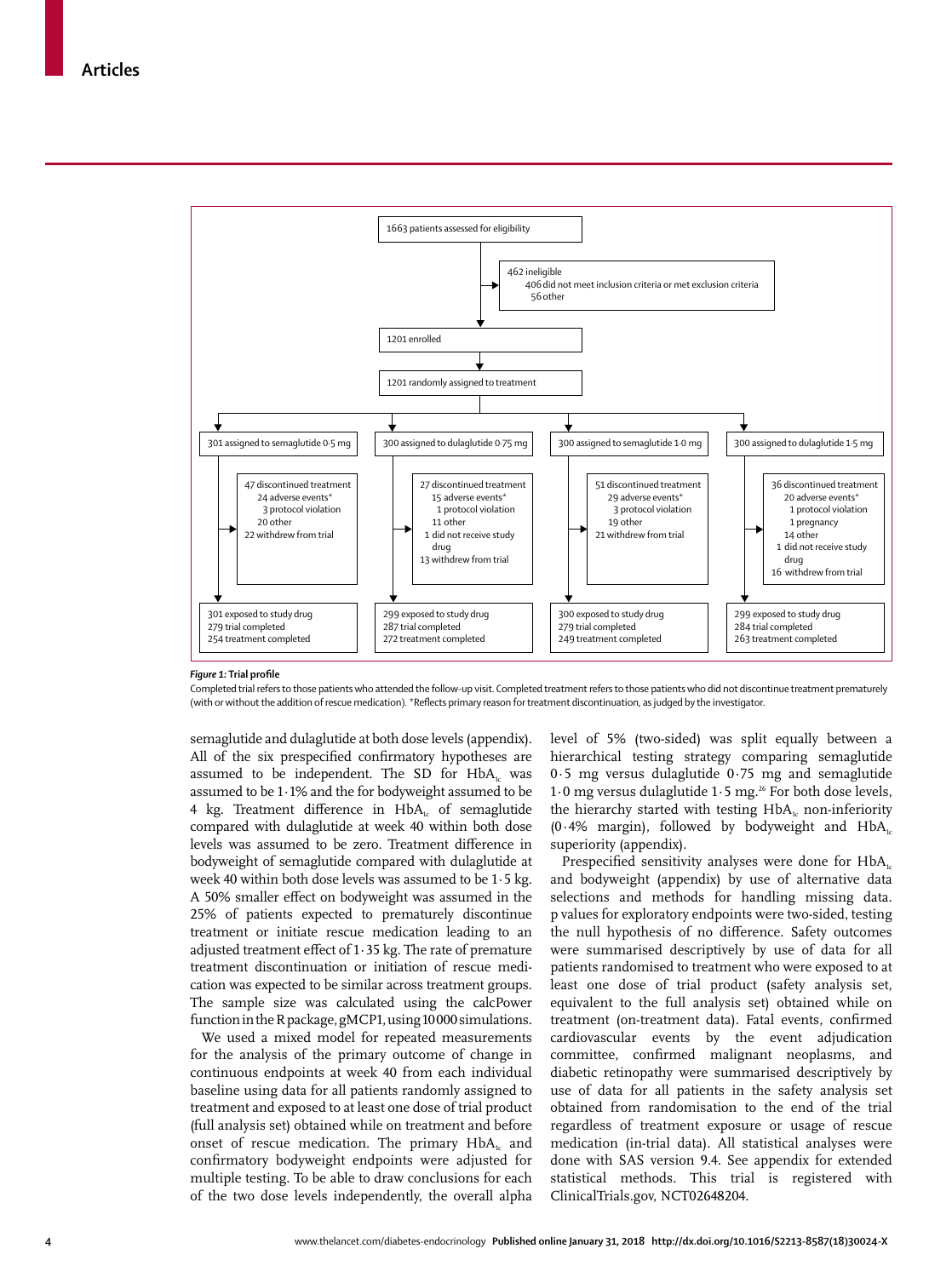

#### *Figure 1:* **Trial profile**

Completed trial refers to those patients who attended the follow-up visit. Completed treatment refers to those patients who did not discontinue treatment prematurely (with or without the addition of rescue medication). \*Reflects primary reason for treatment discontinuation, as judged by the investigator.

semaglutide and dulaglutide at both dose levels (appendix). All of the six prespecified confirmatory hypotheses are assumed to be independent. The SD for  $HbA<sub>1c</sub>$  was assumed to be 1·1% and the for bodyweight assumed to be 4 kg. Treatment difference in  $HbA<sub>i</sub>$  of semaglutide compared with dulaglutide at week 40 within both dose levels was assumed to be zero. Treatment difference in bodyweight of semaglutide compared with dulaglutide at week 40 within both dose levels was assumed to be 1·5 kg. A 50% smaller effect on bodyweight was assumed in the 25% of patients expected to prematurely discontinue treatment or initiate rescue medication leading to an adjusted treatment effect of 1·35 kg. The rate of premature treatment discontinuation or initiation of rescue medication was expected to be similar across treatment groups. The sample size was calculated using the calcPower function in the R package, gMCP1, using 10000 simulations.

We used a mixed model for repeated measurements for the analysis of the primary outcome of change in continuous endpoints at week 40 from each individual baseline using data for all patients randomly assigned to treatment and exposed to at least one dose of trial product (full analysis set) obtained while on treatment and before onset of rescue medication. The primary  $HbA_{1c}$  and confirmatory bodyweight endpoints were adjusted for multiple testing. To be able to draw conclusions for each of the two dose levels independently, the overall alpha level of 5% (two-sided) was split equally between a hierarchical testing strategy comparing semaglutide 0·5 mg versus dulaglutide 0·75 mg and semaglutide 1.0 mg versus dulaglutide 1.5 mg.<sup>26</sup> For both dose levels, the hierarchy started with testing  $HbA_i$  non-inferiority  $(0.4\%$  margin), followed by bodyweight and HbA<sub>1c</sub> superiority (appendix).

Prespecified sensitivity analyses were done for HbA<sub>1c</sub> and bodyweight (appendix) by use of alternative data selections and methods for handling missing data. p values for exploratory endpoints were two-sided, testing the null hypothesis of no difference. Safety outcomes were summarised descriptively by use of data for all patients randomised to treatment who were exposed to at least one dose of trial product (safety analysis set, equivalent to the full analysis set) obtained while on treatment (on-treatment data). Fatal events, confirmed cardiovascular events by the event adjudication committee, confirmed malignant neoplasms, and diabetic retinopathy were summarised descriptively by use of data for all patients in the safety analysis set obtained from randomisation to the end of the trial regardless of treatment exposure or usage of rescue medication (in-trial data). All statistical analyses were done with SAS version 9.4. See appendix for extended statistical methods. This trial is registered with ClinicalTrials.gov, NCT02648204.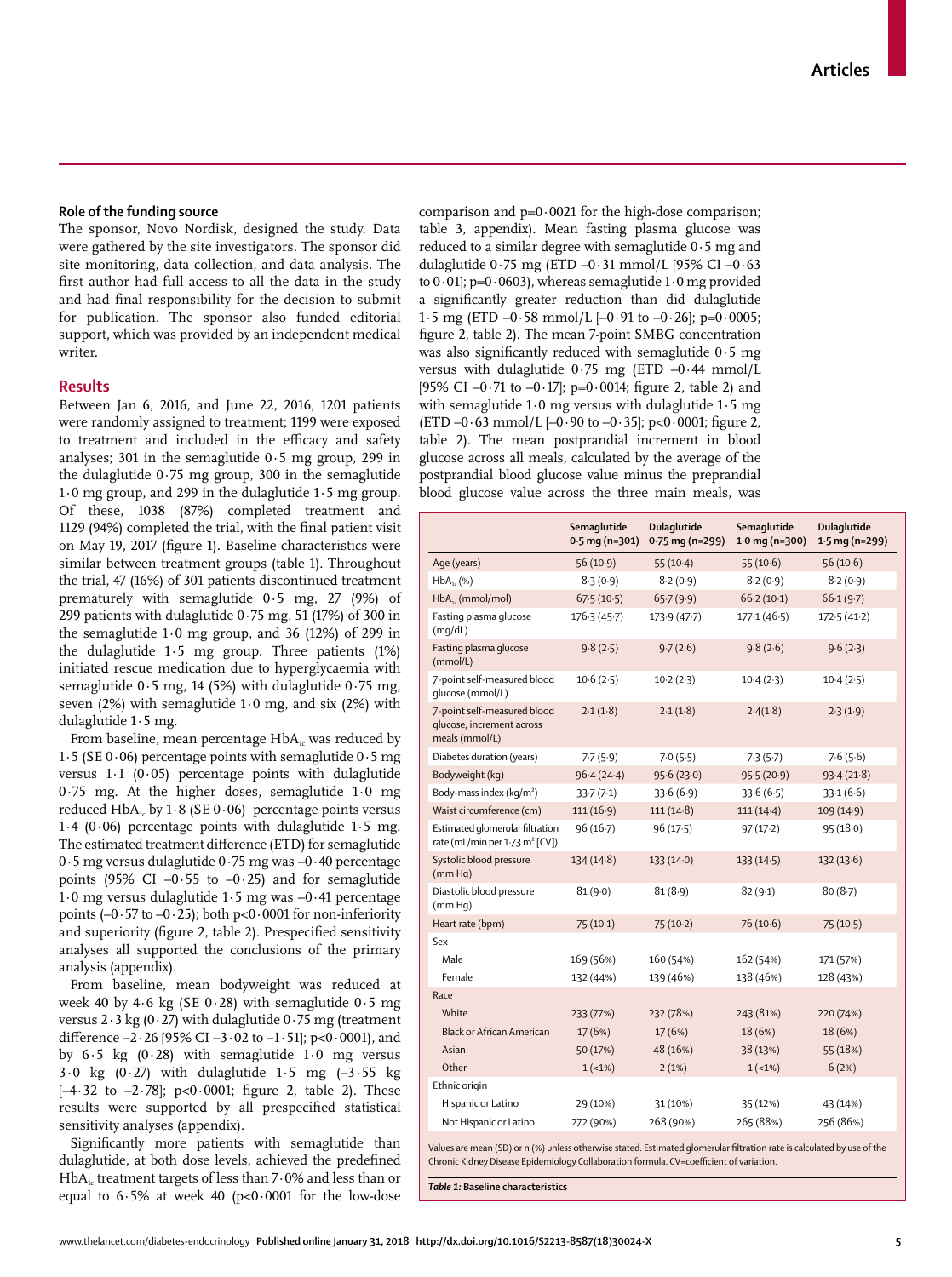## **Role of the funding source**

The sponsor, Novo Nordisk, designed the study. Data were gathered by the site investigators. The sponsor did site monitoring, data collection, and data analysis. The first author had full access to all the data in the study and had final responsibility for the decision to submit for publication. The sponsor also funded editorial support, which was provided by an independent medical writer.

#### **Results**

Between Jan 6, 2016, and June 22, 2016, 1201 patients were randomly assigned to treatment; 1199 were exposed to treatment and included in the efficacy and safety analyses; 301 in the semaglutide 0·5 mg group, 299 in the dulaglutide 0·75 mg group, 300 in the semaglutide 1·0 mg group, and 299 in the dulaglutide 1·5 mg group. Of these, 1038 (87%) completed treatment and 1129 (94%) completed the trial, with the final patient visit on May 19, 2017 (figure 1). Baseline characteristics were similar between treatment groups (table 1). Throughout the trial, 47 (16%) of 301 patients discontinued treatment prematurely with semaglutide 0·5 mg, 27 (9%) of 299 patients with dulaglutide 0·75 mg, 51 (17%) of 300 in the semaglutide 1·0 mg group, and 36 (12%) of 299 in the dulaglutide 1·5 mg group. Three patients (1%) initiated rescue medication due to hyperglycaemia with semaglutide 0·5 mg, 14 (5%) with dulaglutide 0·75 mg, seven  $(2%)$  with semaglutide 1 $\cdot$ 0 mg, and six  $(2%)$  with dulaglutide 1·5 mg.

From baseline, mean percentage  $HbA<sub>1c</sub>$  was reduced by 1.5 (SE 0.06) percentage points with semaglutide  $0.5$  mg versus 1·1 (0·05) percentage points with dulaglutide 0·75 mg. At the higher doses, semaglutide 1·0 mg reduced HbA<sub>1c</sub> by 1·8 (SE 0·06) percentage points versus 1.4 (0.06) percentage points with dulaglutide 1.5 mg. The estimated treatment difference (ETD) for semaglutide 0·5 mg versus dulaglutide 0·75 mg was –0·40 percentage points (95% CI  $-0.55$  to  $-0.25$ ) and for semaglutide 1·0 mg versus dulaglutide 1·5 mg was –0·41 percentage points  $(-0.57 \text{ to } -0.25)$ ; both  $p < 0.0001$  for non-inferiority and superiority (figure 2, table 2). Prespecified sensitivity analyses all supported the conclusions of the primary analysis (appendix).

From baseline, mean bodyweight was reduced at week 40 by 4·6 kg (SE 0·28) with semaglutide 0·5 mg versus  $2 \cdot 3$  kg (0 $\cdot$  27) with dulaglutide 0 $\cdot$ 75 mg (treatment difference  $-2.26$  [95% CI  $-3.02$  to  $-1.51$ ]; p<0.0001), and by  $6.5$  kg  $(0.28)$  with semaglutide  $1.0$  mg versus  $3.0 \text{ kg}$  (0.27) with dulaglutide  $1.5 \text{ mg}$  (-3.55 kg)  $[-4.32$  to  $-2.78]$ ;  $p<0.0001$ ; figure 2, table 2). These results were supported by all prespecified statistical sensitivity analyses (appendix).

Significantly more patients with semaglutide than dulaglutide, at both dose levels, achieved the predefined  $HbA<sub>1c</sub>$  treatment targets of less than 7 $\cdot$  0% and less than or equal to  $6.5\%$  at week 40 (p<0.0001 for the low-dose comparison and  $p=0.0021$  for the high-dose comparison; table 3, appendix). Mean fasting plasma glucose was reduced to a similar degree with semaglutide 0·5 mg and dulaglutide 0·75 mg (ETD –0·31 mmol/L [95% CI –0·63 to  $0.01$ ; p= $0.0603$ ), whereas semaglutide  $1.0$  mg provided a significantly greater reduction than did dulaglutide 1.5 mg (ETD  $-0.58$  mmol/L  $[-0.91$  to  $-0.26]$ ; p=0.0005; figure 2, table 2). The mean 7-point SMBG concentration was also significantly reduced with semaglutide 0·5 mg versus with dulaglutide  $0.75$  mg (ETD  $-0.44$  mmol/L [95% CI  $-0.71$  to  $-0.17$ ]; p=0.0014; figure 2, table 2) and with semaglutide 1·0 mg versus with dulaglutide 1·5 mg (ETD  $-0.63$  mmol/L  $[-0.90$  to  $-0.35]$ ; p<0.0001; figure 2, table 2). The mean postprandial increment in blood glucose across all meals, calculated by the average of the postprandial blood glucose value minus the preprandial blood glucose value across the three main meals, was

|                                                                               | Semaglutide<br>$0.5$ mg (n=301) | <b>Dulaglutide</b><br>Semaglutide<br>$0.75$ mg (n=299)<br>$1.0$ mg (n=300) |             | Dulaglutide<br>$1.5$ mg (n=299) |
|-------------------------------------------------------------------------------|---------------------------------|----------------------------------------------------------------------------|-------------|---------------------------------|
| Age (years)                                                                   | 56(10.9)                        | $55(10-4)$                                                                 | 55(10.6)    | 56(10.6)                        |
| $HbA_{1c}$ (%)                                                                | 8.3(0.9)                        | 8.2(0.9)                                                                   | 8.2(0.9)    | 8.2(0.9)                        |
| $HbA_{1c}$ (mmol/mol)                                                         | 67.5(10.5)                      | 65.7(9.9)                                                                  | 66.2(10.1)  | 66.1(9.7)                       |
| Fasting plasma glucose<br>(mq/dL)                                             | 176.3(45.7)                     | 173.9 (47.7)                                                               | 177.1(46.5) | 172.5(41.2)                     |
| Fasting plasma glucose<br>(mmol/L)                                            | 9.8(2.5)                        | 9.7(2.6)                                                                   | 9.8(2.6)    | 9.6(2.3)                        |
| 7-point self-measured blood<br>qlucose (mmol/L)                               | 10.6(2.5)                       | 10.2(2.3)                                                                  | 10.4(2.3)   | 10.4(2.5)                       |
| 7-point self-measured blood<br>glucose, increment across<br>meals (mmol/L)    | 2.1(1.8)                        | 2.1(1.8)                                                                   | 2.4(1.8)    | 2.3(1.9)                        |
| Diabetes duration (years)                                                     | 7.7(5.9)                        | 7.0(5.5)                                                                   | 7.3(5.7)    | 7.6(5.6)                        |
| Bodyweight (kg)                                                               | 96.4(24.4)                      | 95.6(23.0)                                                                 | 95.5(20.9)  | 93.4(21.8)                      |
| Body-mass index (kg/m <sup>2</sup> )                                          | 33.7(7.1)                       | 33.6(6.9)                                                                  | 33.6(6.5)   | 33.1(6.6)                       |
| Waist circumference (cm)                                                      | 111(16.9)                       | 111(14.8)                                                                  | $111(14-4)$ | 109(14.9)                       |
| Estimated glomerular filtration<br>rate (mL/min per 1.73 m <sup>2</sup> [CV]) | 96(16.7)                        | 96(17.5)                                                                   | 97(17.2)    | 95(18.0)                        |
| Systolic blood pressure<br>(mm Hq)                                            | 134(14.8)                       | 133(14.0)                                                                  | 133(14.5)   | 132(13.6)                       |
| Diastolic blood pressure<br>(mm Hq)                                           | 81(9.0)                         | 81(8.9)                                                                    | 82(9.1)     | 80(8.7)                         |
| Heart rate (bpm)                                                              | 75(10.1)                        | 75(10.2)                                                                   | 76(10.6)    | 75(10.5)                        |
| Sex                                                                           |                                 |                                                                            |             |                                 |
| Male                                                                          | 169 (56%)                       | 160 (54%)                                                                  | 162 (54%)   | 171 (57%)                       |
| Female                                                                        | 132 (44%)                       | 139 (46%)                                                                  | 138 (46%)   | 128 (43%)                       |
| Race                                                                          |                                 |                                                                            |             |                                 |
| White                                                                         | 233 (77%)                       | 232 (78%)                                                                  | 243 (81%)   | 220 (74%)                       |
| <b>Black or African American</b>                                              | 17(6%)                          | 17(6%)                                                                     | 18 (6%)     | 18 (6%)                         |
| Asian                                                                         | 50 (17%)                        | 48 (16%)                                                                   | 38 (13%)    | 55 (18%)                        |
| Other                                                                         | $1(-1%)$                        | 2(1%)                                                                      | $1(-1%)$    | 6(2%)                           |
| Ethnic origin                                                                 |                                 |                                                                            |             |                                 |
| Hispanic or Latino                                                            | 29 (10%)                        | 31 (10%)                                                                   | 35 (12%)    | 43 (14%)                        |
| Not Hispanic or Latino                                                        | 272 (90%)                       | 268 (90%)                                                                  | 265 (88%)   | 256 (86%)                       |

Values are mean (SD) or n (%) unless otherwise stated. Estimated glomerular filtration rate is calculated by use of the Chronic Kidney Disease Epidemiology Collaboration formula. CV=coefficient of variation.

*Table 1:* **Baseline characteristics**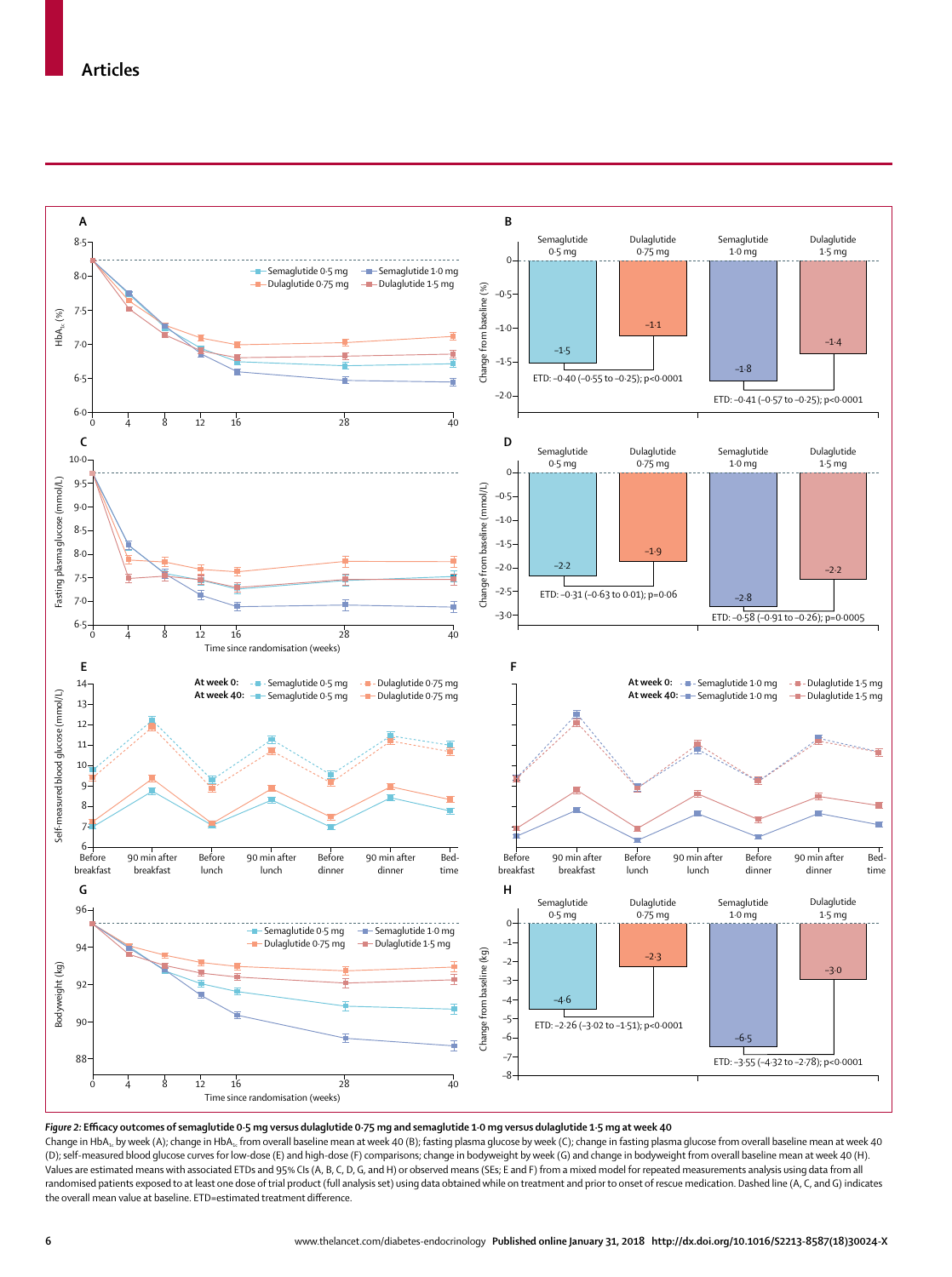

*Figure 2:* **Efficacy outcomes of semaglutide 0·5 mg versus dulaglutide 0·75 mg and semaglutide 1·0 mg versus dulaglutide 1·5 mg at week 40**

Change in HbA<sub>1c</sub> by week (A); change in HbA<sub>1c</sub> from overall baseline mean at week 40 (B); fasting plasma glucose by week (C); change in fasting plasma glucose from overall baseline mean at week 40 (D); self-measured blood glucose curves for low-dose (E) and high-dose (F) comparisons; change in bodyweight by week (G) and change in bodyweight from overall baseline mean at week 40 (H). Values are estimated means with associated ETDs and 95% CIs (A, B, C, D, G, and H) or observed means (SEs; E and F) from a mixed model for repeated measurements analysis using data from all randomised patients exposed to at least one dose of trial product (full analysis set) using data obtained while on treatment and prior to onset of rescue medication. Dashed line (A, C, and G) indicates the overall mean value at baseline. ETD=estimated treatment difference.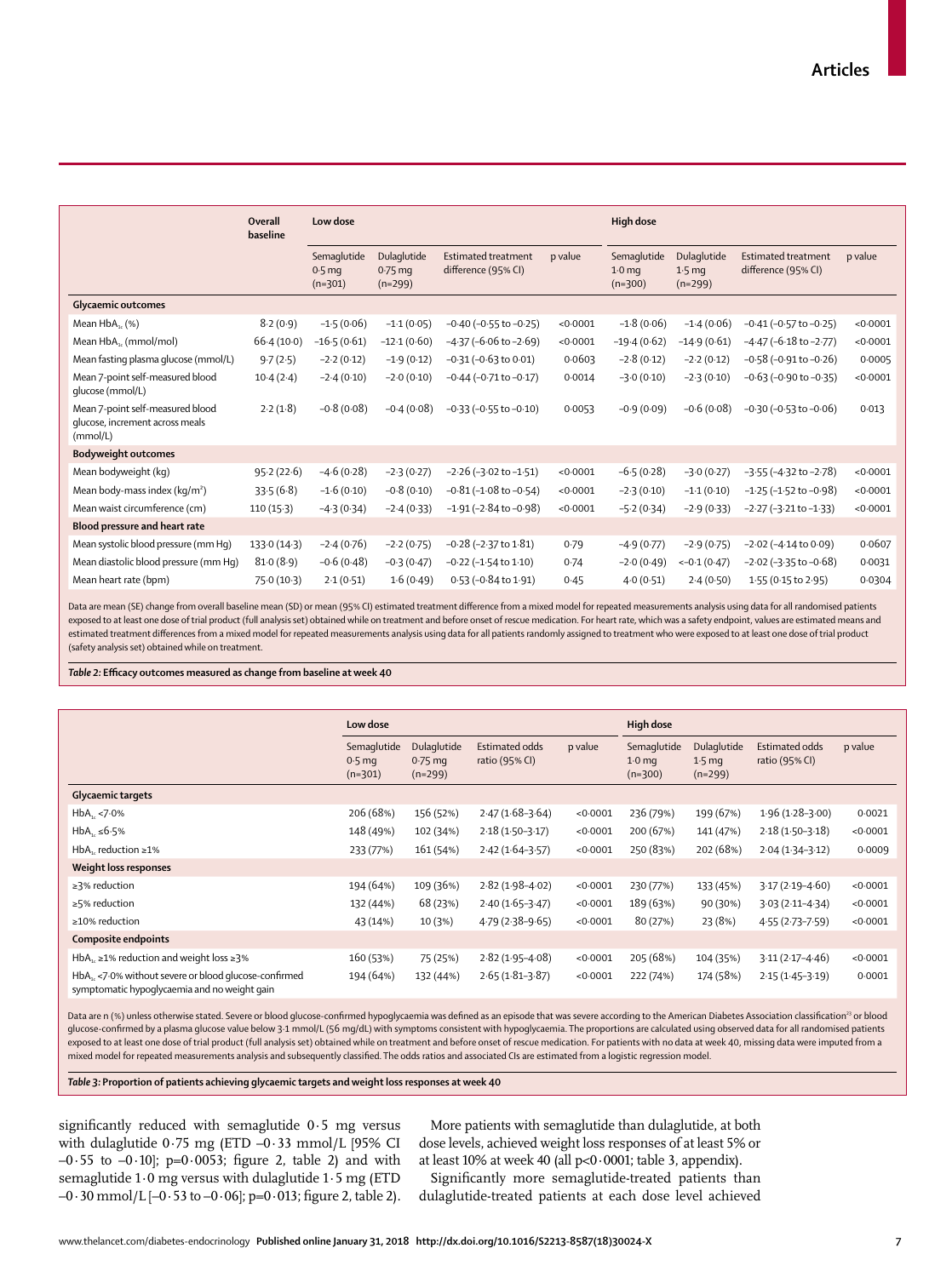|                                                                                 | Overall<br>baseline | Low dose                                      |                                       |                                                   |          | <b>High dose</b>                              |                                               |                                                   |          |
|---------------------------------------------------------------------------------|---------------------|-----------------------------------------------|---------------------------------------|---------------------------------------------------|----------|-----------------------------------------------|-----------------------------------------------|---------------------------------------------------|----------|
|                                                                                 |                     | Semaglutide<br>0.5 <sub>mg</sub><br>$(n=301)$ | Dulaglutide<br>$0.75$ mg<br>$(n=299)$ | <b>Estimated treatment</b><br>difference (95% CI) | p value  | Semaglutide<br>1.0 <sub>mg</sub><br>$(n=300)$ | Dulaglutide<br>1.5 <sub>mg</sub><br>$(n=299)$ | <b>Estimated treatment</b><br>difference (95% CI) | p value  |
| <b>Glycaemic outcomes</b>                                                       |                     |                                               |                                       |                                                   |          |                                               |                                               |                                                   |          |
| Mean $HbA_{1c}$ (%)                                                             | 8.2(0.9)            | $-1.5(0.06)$                                  | $-1.1(0.05)$                          | $-0.40$ ( $-0.55$ to $-0.25$ )                    | < 0.0001 | $-1.8(0.06)$                                  | $-1.4(0.06)$                                  | $-0.41$ ( $-0.57$ to $-0.25$ )                    | < 0.0001 |
| Mean HbA <sub>1c</sub> (mmol/mol)                                               | $66-4(10-0)$        | $-16.5(0.61)$                                 | $-12.1(0.60)$                         | $-4.37$ ( $-6.06$ to $-2.69$ )                    | < 0.0001 | $-19.4(0.62)$                                 | $-14.9(0.61)$                                 | $-4.47$ ( $-6.18$ to $-2.77$ )                    | < 0.0001 |
| Mean fasting plasma glucose (mmol/L)                                            | 9.7(2.5)            | $-2.2(0.12)$                                  | $-1.9(0.12)$                          | $-0.31$ ( $-0.63$ to $0.01$ )                     | 0.0603   | $-2.8(0.12)$                                  | $-2.2(0.12)$                                  | $-0.58$ ( $-0.91$ to $-0.26$ )                    | 0.0005   |
| Mean 7-point self-measured blood<br>qlucose (mmol/L)                            | $10-4(2-4)$         | $-2.4(0.10)$                                  | $-2.0(0.10)$                          | $-0.44$ ( $-0.71$ to $-0.17$ )                    | 0.0014   | $-3.0(0.10)$                                  | $-2.3(0.10)$                                  | $-0.63$ ( $-0.90$ to $-0.35$ )                    | < 0.0001 |
| Mean 7-point self-measured blood<br>glucose, increment across meals<br>(mmol/L) | 2.2(1.8)            | $-0.8(0.08)$                                  | $-0.4(0.08)$                          | $-0.33$ ( $-0.55$ to $-0.10$ )                    | 0.0053   | $-0.9(0.09)$                                  | $-0.6(0.08)$                                  | $-0.30$ ( $-0.53$ to $-0.06$ )                    | 0.013    |
| <b>Bodyweight outcomes</b>                                                      |                     |                                               |                                       |                                                   |          |                                               |                                               |                                                   |          |
| Mean bodyweight (kg)                                                            | 95.2(22.6)          | $-4.6(0.28)$                                  | $-2.3(0.27)$                          | $-2.26$ ( $-3.02$ to $-1.51$ )                    | < 0.0001 | $-6.5(0.28)$                                  | $-3.0(0.27)$                                  | $-3.55$ ( $-4.32$ to $-2.78$ )                    | < 0.0001 |
| Mean body-mass index ( $kg/m2$ )                                                | 33.5(6.8)           | $-1.6(0.10)$                                  | $-0.8(0.10)$                          | $-0.81$ ( $-1.08$ to $-0.54$ )                    | < 0.0001 | $-2.3(0.10)$                                  | $-1.1(0.10)$                                  | $-1.25$ ( $-1.52$ to $-0.98$ )                    | < 0.0001 |
| Mean waist circumference (cm)                                                   | $110(15-3)$         | $-4.3(0.34)$                                  | $-2.4(0.33)$                          | $-1.91$ ( $-2.84$ to $-0.98$ )                    | < 0.0001 | $-5.2(0.34)$                                  | $-2.9(0.33)$                                  | $-2.27$ ( $-3.21$ to $-1.33$ )                    | < 0.0001 |
| Blood pressure and heart rate                                                   |                     |                                               |                                       |                                                   |          |                                               |                                               |                                                   |          |
| Mean systolic blood pressure (mm Hq)                                            | 133.0(14.3)         | $-2.4(0.76)$                                  | $-2.2(0.75)$                          | $-0.28$ ( $-2.37$ to $1.81$ )                     | 0.79     | $-4.9(0.77)$                                  | $-2.9(0.75)$                                  | $-2.02$ ( $-4.14$ to 0.09)                        | 0.0607   |
| Mean diastolic blood pressure (mm Hq)                                           | 81.0(8.9)           | $-0.6(0.48)$                                  | $-0.3(0.47)$                          | $-0.22$ ( $-1.54$ to $1.10$ )                     | 0.74     | $-2.0(0.49)$                                  | $<-0.1(0.47)$                                 | $-2.02$ ( $-3.35$ to $-0.68$ )                    | 0.0031   |
| Mean heart rate (bpm)                                                           | 75.0 (10.3)         | 2.1(0.51)                                     | 1.6(0.49)                             | 0.53 (-0.84 to 1.91)                              | 0.45     | 4.0(0.51)                                     | 2.4(0.50)                                     | 1.55 (0.15 to 2.95)                               | 0.0304   |
|                                                                                 |                     |                                               |                                       |                                                   |          |                                               |                                               |                                                   |          |

Data are mean (SE) change from overall baseline mean (SD) or mean (95% CI) estimated treatment difference from a mixed model for repeated measurements analysis using data for all randomised patients exposed to at least one dose of trial product (full analysis set) obtained while on treatment and before onset of rescue medication. For heart rate, which was a safety endpoint, values are estimated means and estimated treatment differences from a mixed model for repeated measurements analysis using data for all patients randomly assigned to treatment who were exposed to at least one dose of trial product (safety analysis set) obtained while on treatment.

*Table 2:* **Efficacy outcomes measured as change from baseline at week 40**

|                                                                                                                  | Low dose                             |                                       |                                             |          | High dose                                     |                                              |                                  |          |  |
|------------------------------------------------------------------------------------------------------------------|--------------------------------------|---------------------------------------|---------------------------------------------|----------|-----------------------------------------------|----------------------------------------------|----------------------------------|----------|--|
|                                                                                                                  | Semaglutide<br>$0.5$ mg<br>$(n=301)$ | Dulaglutide<br>$0.75$ mg<br>$(n=299)$ | Estimated odds<br>p value<br>ratio (95% CI) |          | Semaglutide<br>1.0 <sub>mg</sub><br>$(n=300)$ | Dulaglutide<br>$1.5 \text{ mg}$<br>$(n=299)$ | Estimated odds<br>ratio (95% CI) | p value  |  |
| Glycaemic targets                                                                                                |                                      |                                       |                                             |          |                                               |                                              |                                  |          |  |
| $HbA_{1c}$ <7.0%                                                                                                 | 206 (68%)                            | 156 (52%)                             | $2.47(1.68-3.64)$                           | < 0.0001 | 236 (79%)                                     | 199 (67%)                                    | $1.96(1.28-3.00)$                | 0.0021   |  |
| $HbA_{1c} \leq 6.5\%$                                                                                            | 148 (49%)                            | 102 (34%)                             | $2.18(1.50-3.17)$                           | < 0.0001 | 200 (67%)                                     | 141 (47%)                                    | $2.18(1.50-3.18)$                | < 0.0001 |  |
| HbA <sub>1</sub> , reduction $\geq 1\%$                                                                          | 233 (77%)                            | 161 (54%)                             | $2.42(1.64 - 3.57)$                         | < 0.0001 | 250 (83%)                                     | 202 (68%)                                    | $2.04(1.34-3.12)$                | 0.0009   |  |
| Weight loss responses                                                                                            |                                      |                                       |                                             |          |                                               |                                              |                                  |          |  |
| $\geq$ 3% reduction                                                                                              | 194 (64%)                            | 109 (36%)                             | $2.82(1.98 - 4.02)$                         | < 0.0001 | 230 (77%)                                     | 133 (45%)                                    | $3.17(2.19 - 4.60)$              | < 0.0001 |  |
| $\geq$ 5% reduction                                                                                              | 132 (44%)                            | 68 (23%)                              | $2.40(1.65-3.47)$                           | < 0.0001 | 189 (63%)                                     | 90 (30%)                                     | $3.03(2.11 - 4.34)$              | < 0.0001 |  |
| $\geq$ 10% reduction                                                                                             | 43 (14%)                             | 10 (3%)                               | $4.79(2.38-9.65)$                           | < 0.0001 | 80 (27%)                                      | 23 (8%)                                      | $4.55(2.73 - 7.59)$              | < 0.0001 |  |
| Composite endpoints                                                                                              |                                      |                                       |                                             |          |                                               |                                              |                                  |          |  |
| HbA <sub>1</sub> , $\geq$ 1% reduction and weight loss $\geq$ 3%                                                 | 160 (53%)                            | 75 (25%)                              | $2.82(1.95 - 4.08)$                         | < 0.0001 | 205 (68%)                                     | 104 (35%)                                    | $3.11(2.17 - 4.46)$              | < 0.0001 |  |
| HbA <sub>1</sub> <7.0% without severe or blood glucose-confirmed<br>symptomatic hypoglycaemia and no weight gain | 194 (64%)                            | 132 (44%)                             | $2.65(1.81-3.87)$                           | < 0.0001 | 222 (74%)                                     | 174 (58%)                                    | $2.15(1.45-3.19)$                | 0.0001   |  |

Data are n (%) unless otherwise stated. Severe or blood glucose-confirmed hypoglycaemia was defined as an episode that was severe according to the American Diabetes Association classification<sup>23</sup> or blood glucose-confirmed by a plasma glucose value below 3·1 mmol/L (56 mg/dL) with symptoms consistent with hypoglycaemia. The proportions are calculated using observed data for all randomised patients exposed to at least one dose of trial product (full analysis set) obtained while on treatment and before onset of rescue medication. For patients with no data at week 40, missing data were imputed from a mixed model for repeated measurements analysis and subsequently classified. The odds ratios and associated CIs are estimated from a logistic regression model.

*Table 3:* **Proportion of patients achieving glycaemic targets and weight loss responses at week 40**

significantly reduced with semaglutide 0·5 mg versus with dulaglutide 0·75 mg (ETD –0·33 mmol/L [95% CI  $-0.55$  to  $-0.10$ ; p=0.0053; figure 2, table 2) and with semaglutide  $1.0$  mg versus with dulaglutide  $1.5$  mg (ETD  $-0.30$  mmol/L  $[-0.53$  to  $-0.06]$ ; p=0.013; figure 2, table 2).

More patients with semaglutide than dulaglutide, at both dose levels, achieved weight loss responses of at least 5% or at least 10% at week 40 (all p<0·0001; table 3, appendix).

Significantly more semaglutide-treated patients than dulaglutide-treated patients at each dose level achieved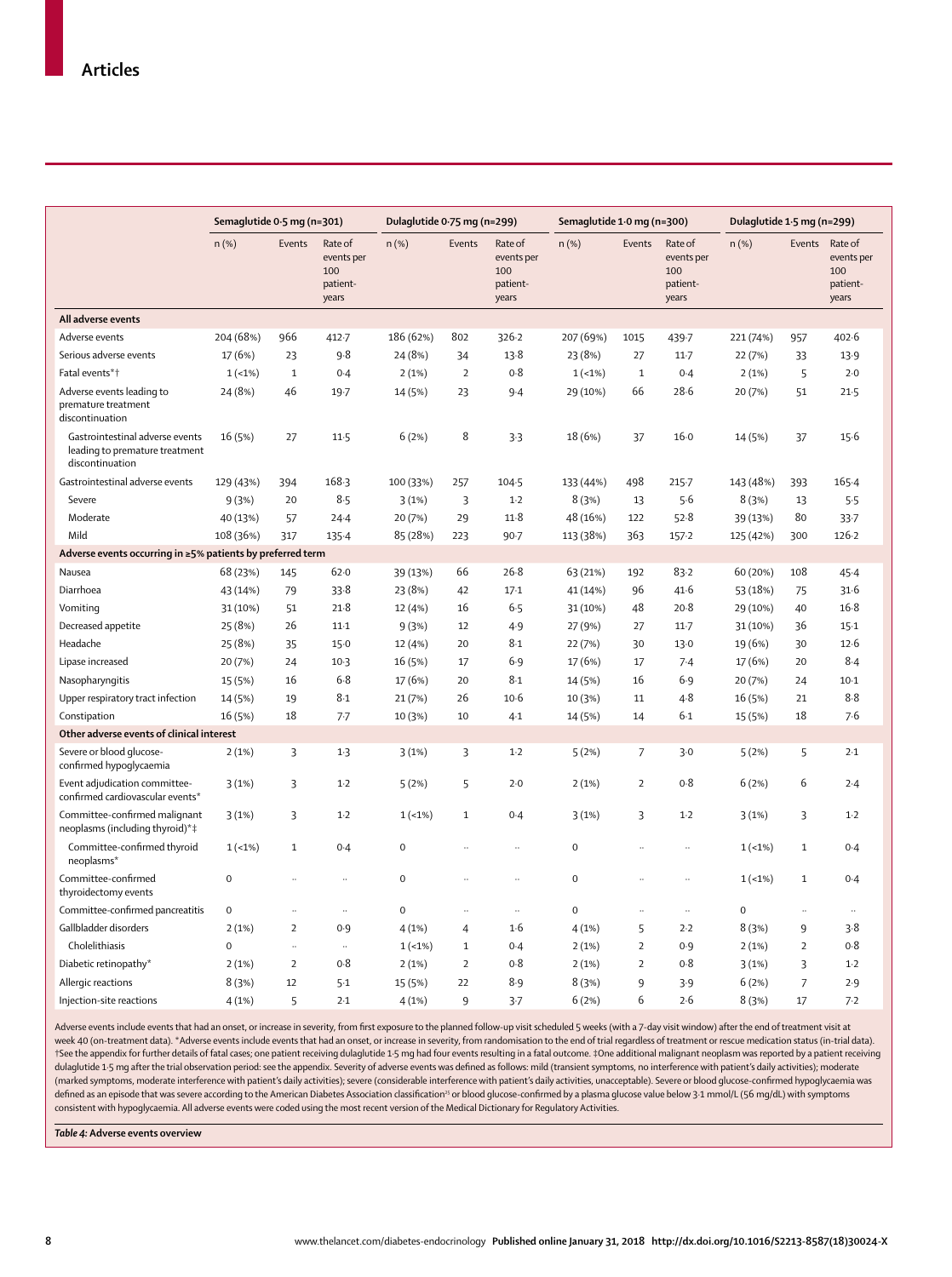|                                                                                      | Semaglutide 0.5 mg (n=301) |                      | Dulaglutide 0.75 mg (n=299)                       |             |                | Semaglutide 1.0 mg (n=300)                        |             |                      | Dulaglutide 1.5 mg (n=299)                        |             |                      |                                                   |
|--------------------------------------------------------------------------------------|----------------------------|----------------------|---------------------------------------------------|-------------|----------------|---------------------------------------------------|-------------|----------------------|---------------------------------------------------|-------------|----------------------|---------------------------------------------------|
|                                                                                      | $n$ (%)                    | Events               | Rate of<br>events per<br>100<br>patient-<br>years | $n$ (%)     | Events         | Rate of<br>events per<br>100<br>patient-<br>years | $n$ (%)     | Events               | Rate of<br>events per<br>100<br>patient-<br>years | $n$ (%)     | Events               | Rate of<br>events per<br>100<br>patient-<br>years |
| All adverse events                                                                   |                            |                      |                                                   |             |                |                                                   |             |                      |                                                   |             |                      |                                                   |
| Adverse events                                                                       | 204 (68%)                  | 966                  | $412 - 7$                                         | 186 (62%)   | 802            | 326.2                                             | 207 (69%)   | 1015                 | 439.7                                             | 221 (74%)   | 957                  | 402.6                                             |
| Serious adverse events                                                               | 17 (6%)                    | 23                   | 9.8                                               | 24 (8%)     | 34             | 13.8                                              | 23 (8%)     | 27                   | $11-7$                                            | 22 (7%)     | 33                   | 13.9                                              |
| Fatal events*1                                                                       | $1(-1%)$                   | $\,1\,$              | 0.4                                               | 2(1%)       | $\overline{2}$ | 0.8                                               | $1(-1%)$    | $\mathbf 1$          | 0.4                                               | 2(1%)       | 5                    | 2.0                                               |
| Adverse events leading to<br>premature treatment<br>discontinuation                  | 24 (8%)                    | 46                   | 19.7                                              | 14 (5%)     | 23             | $9-4$                                             | 29 (10%)    | 66                   | $28-6$                                            | 20 (7%)     | 51                   | $21-5$                                            |
| Gastrointestinal adverse events<br>leading to premature treatment<br>discontinuation | 16 (5%)                    | 27                   | 11.5                                              | 6(2%)       | 8              | 3.3                                               | 18 (6%)     | 37                   | $16 - 0$                                          | 14 (5%)     | 37                   | $15-6$                                            |
| Gastrointestinal adverse events                                                      | 129 (43%)                  | 394                  | $168-3$                                           | 100 (33%)   | 257            | $104 - 5$                                         | 133 (44%)   | 498                  | $215 - 7$                                         | 143 (48%)   | 393                  | $165 - 4$                                         |
| Severe                                                                               | 9(3%)                      | 20                   | $8 - 5$                                           | 3(1%)       | 3              | $1-2$                                             | 8(3%)       | 13                   | 5.6                                               | 8(3%)       | 13                   | 5.5                                               |
| Moderate                                                                             | 40 (13%)                   | 57                   | 24.4                                              | 20 (7%)     | 29             | 11.8                                              | 48 (16%)    | 122                  | 52.8                                              | 39 (13%)    | 80                   | $33 - 7$                                          |
| Mild                                                                                 | 108 (36%)                  | 317                  | $135 - 4$                                         | 85 (28%)    | 223            | $90 - 7$                                          | 113 (38%)   | 363                  | $157 - 2$                                         | 125 (42%)   | 300                  | 126.2                                             |
| Adverse events occurring in ≥5% patients by preferred term                           |                            |                      |                                                   |             |                |                                                   |             |                      |                                                   |             |                      |                                                   |
| Nausea                                                                               | 68 (23%)                   | 145                  | 62.0                                              | 39 (13%)    | 66             | 26.8                                              | 63 (21%)    | 192                  | 83.2                                              | 60 (20%)    | 108                  | 45.4                                              |
| Diarrhoea                                                                            | 43 (14%)                   | 79                   | 33.8                                              | 23 (8%)     | 42             | $17-1$                                            | 41 (14%)    | 96                   | 41.6                                              | 53 (18%)    | 75                   | 31.6                                              |
| Vomiting                                                                             | 31 (10%)                   | 51                   | 21.8                                              | 12 (4%)     | 16             | 6.5                                               | 31 (10%)    | 48                   | $20-8$                                            | 29 (10%)    | 40                   | $16-8$                                            |
| Decreased appetite                                                                   | 25 (8%)                    | 26                   | $11-1$                                            | 9(3%)       | 12             | 4.9                                               | 27 (9%)     | 27                   | $11-7$                                            | 31 (10%)    | 36                   | $15-1$                                            |
| Headache                                                                             | 25 (8%)                    | 35                   | $15-0$                                            | 12 (4%)     | 20             | 8.1                                               | 22 (7%)     | 30                   | 13.0                                              | 19 (6%)     | 30                   | 12.6                                              |
| Lipase increased                                                                     | 20 (7%)                    | 24                   | $10-3$                                            | 16 (5%)     | 17             | 6.9                                               | 17 (6%)     | 17                   | 7.4                                               | 17 (6%)     | 20                   | 8.4                                               |
| Nasopharyngitis                                                                      | 15 (5%)                    | 16                   | 6.8                                               | 17 (6%)     | 20             | 8.1                                               | 14 (5%)     | 16                   | 6.9                                               | 20 (7%)     | 24                   | $10-1$                                            |
| Upper respiratory tract infection                                                    | 14 (5%)                    | 19                   | 8.1                                               | 21 (7%)     | 26             | $10-6$                                            | 10 (3%)     | 11                   | $4 - 8$                                           | 16 (5%)     | 21                   | 8.8                                               |
| Constipation                                                                         | 16 (5%)                    | 18                   | $7 - 7$                                           | 10 (3%)     | 10             | 4.1                                               | 14 (5%)     | 14                   | 6.1                                               | 15 (5%)     | 18                   | 7.6                                               |
| Other adverse events of clinical interest                                            |                            |                      |                                                   |             |                |                                                   |             |                      |                                                   |             |                      |                                                   |
| Severe or blood glucose-<br>confirmed hypoglycaemia                                  | 2(1%)                      | 3                    | $1-3$                                             | 3(1%)       | 3              | $1-2$                                             | 5(2%)       | $\overline{7}$       | 3.0                                               | 5(2%)       | 5                    | 2.1                                               |
| Event adjudication committee-<br>confirmed cardiovascular events*                    | 3(1%)                      | 3                    | $1-2$                                             | 5(2%)       | 5              | 2.0                                               | 2(1%)       | $\overline{2}$       | 0.8                                               | 6(2%)       | 6                    | 2.4                                               |
| Committee-confirmed malignant<br>neoplasms (including thyroid)*‡                     | 3(1%)                      | 3                    | $1-2$                                             | $1(-1%)$    | $\mathbf{1}$   | 0.4                                               | 3(1%)       | 3                    | $1-2$                                             | 3(1%)       | 3                    | $1-2$                                             |
| Committee-confirmed thyroid<br>neoplasms*                                            | $1(-1%)$                   | $\mathbf{1}$         | 0.4                                               | $\mathbf 0$ |                |                                                   | $\mathbf 0$ |                      | $\ddotsc$                                         | $1(-1%)$    | $\mathbf 1$          | 0.4                                               |
| Committee-confirmed<br>thyroidectomy events                                          | $\mathbf 0$                | $\ddot{\phantom{0}}$ | $\ddot{\phantom{a}}$                              | 0           |                | $\ddotsc$                                         | $\pmb{0}$   | $\ddot{\phantom{a}}$ | $\ddotsc$                                         | $1(-1%)$    | $\mathbf{1}$         | 0.4                                               |
| Committee-confirmed pancreatitis                                                     | $\mathbf 0$                | $\ddot{\phantom{0}}$ | $\ddotsc$                                         | $\mathbf 0$ |                | $\ddotsc$                                         | $\mathbf 0$ | $\ddot{\phantom{0}}$ | $\ddotsc$                                         | $\mathbf 0$ | $\ddot{\phantom{0}}$ |                                                   |
| Gallbladder disorders                                                                | 2(1%)                      | $\overline{2}$       | 0.9                                               | 4(1%)       | $\overline{4}$ | 1·6                                               | 4(1%)       | 5                    | 2.2                                               | 8(3%)       | 9                    | 3.8                                               |
| Cholelithiasis                                                                       | $\Omega$                   | $\ddotsc$            | $\ddot{\phantom{a}}$                              | $1(-1%)$    | $\mathbf{1}$   | 0.4                                               | 2(1%)       | $\overline{2}$       | 0.9                                               | 2(1%)       | $\overline{2}$       | 0.8                                               |
| Diabetic retinopathy*                                                                | 2(1%)                      | $\overline{2}$       | 0.8                                               | 2(1%)       | $\overline{2}$ | 0.8                                               | 2(1%)       | $\overline{2}$       | 0.8                                               | 3(1%)       | 3                    | $1-2$                                             |
| Allergic reactions                                                                   | 8(3%)                      | 12                   | $5-1$                                             | 15 (5%)     | 22             | 8.9                                               | 8(3%)       | 9                    | 3.9                                               | 6(2%)       | $\overline{7}$       | 2.9                                               |
| Injection-site reactions                                                             | 4(1%)                      | 5                    | 2.1                                               | 4(1%)       | $\mathbf{q}$   | $3-7$                                             | 6(2%)       | 6                    | 2.6                                               | 8(3%)       | 17                   | 7.2                                               |

Adverse events include events that had an onset, or increase in severity, from first exposure to the planned follow-up visit scheduled 5 weeks (with a 7-day visit window) after the end of treatment visit at week 40 (on-treatment data). \*Adverse events include events that had an onset, or increase in severity, from randomisation to the end of trial regardless of treatment or rescue medication status (in-trial data). †See the appendix for further details of fatal cases; one patient receiving dulaglutide 1·5 mg had four events resulting in a fatal outcome. ‡One additional malignant neoplasm was reported by a patient receiving dulaglutide 1·5 mg after the trial observation period: see the appendix. Severity of adverse events was defined as follows: mild (transient symptoms, no interference with patient's daily activities); moderate (marked symptoms, moderate interference with patient's daily activities); severe (considerable interference with patient's daily activities, unacceptable). Severe or blood glucose-confirmed hypoglycaemia was defined as an episode that was severe according to the American Diabetes Association classification<sup>25</sup> or blood glucose-confirmed by a plasma glucose value below 3·1 mmol/L (56 mg/dL) with symptoms consistent with hypoglycaemia. All adverse events were coded using the most recent version of the Medical Dictionary for Regulatory Activities.

*Table 4:* **Adverse events overview**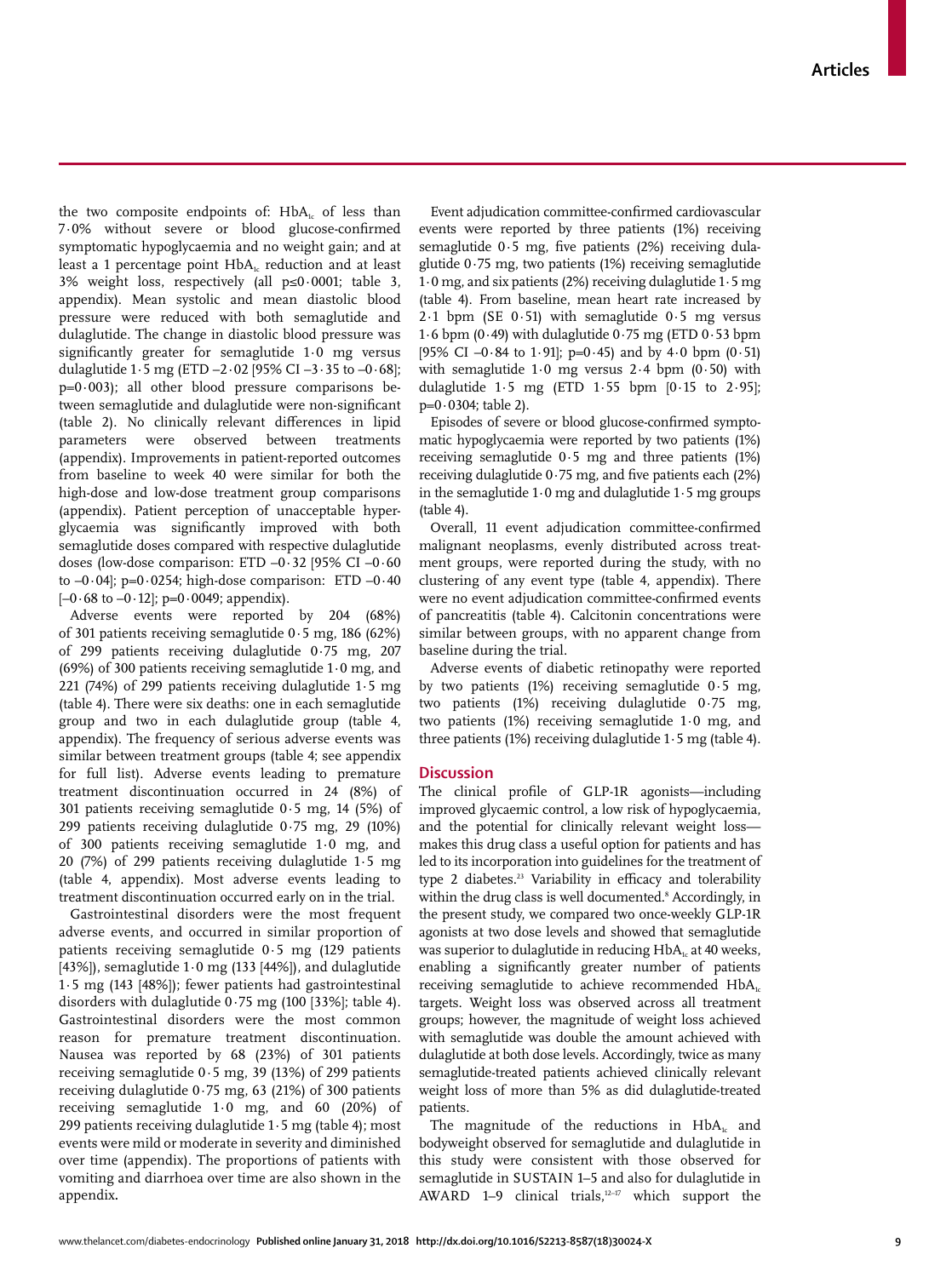the two composite endpoints of:  $HbA<sub>i</sub>$  of less than 7·0% without severe or blood glucose-confirmed symptomatic hypoglycaemia and no weight gain; and at least a 1 percentage point  $HbA<sub>1c</sub>$  reduction and at least 3% weight loss, respectively (all p≤0·0001; table 3, appendix). Mean systolic and mean diastolic blood pressure were reduced with both semaglutide and dulaglutide. The change in diastolic blood pressure was significantly greater for semaglutide 1·0 mg versus dulaglutide  $1.5$  mg (ETD  $-2.02$  [95% CI  $-3.35$  to  $-0.68$ ];  $p=0.003$ ; all other blood pressure comparisons between semaglutide and dulaglutide were non-significant (table 2). No clinically relevant differences in lipid parameters were observed between treatments (appendix). Improvements in patient-reported outcomes from baseline to week 40 were similar for both the high-dose and low-dose treatment group comparisons (appendix). Patient perception of unacceptable hyperglycaemia was significantly improved with both semaglutide doses compared with respective dulaglutide doses (low-dose comparison: ETD –0·32 [95% CI –0·60 to  $-0.04$ ; p= $0.0254$ ; high-dose comparison: ETD  $-0.40$  $[-0.68 \text{ to } -0.12]$ ; p=0.0049; appendix).

Adverse events were reported by 204 (68%) of 301 patients receiving semaglutide 0·5 mg, 186 (62%) of 299 patients receiving dulaglutide 0·75 mg, 207 (69%) of 300 patients receiving semaglutide 1·0 mg, and 221 (74%) of 299 patients receiving dulaglutide 1·5 mg (table 4). There were six deaths: one in each semaglutide group and two in each dulaglutide group (table 4, appendix). The frequency of serious adverse events was similar between treatment groups (table 4; see appendix for full list). Adverse events leading to premature treatment discontinuation occurred in 24 (8%) of 301 patients receiving semaglutide 0·5 mg, 14 (5%) of 299 patients receiving dulaglutide 0·75 mg, 29 (10%) of 300 patients receiving semaglutide 1·0 mg, and 20 (7%) of 299 patients receiving dulaglutide 1·5 mg (table 4, appendix). Most adverse events leading to treatment discontinuation occurred early on in the trial.

Gastrointestinal disorders were the most frequent adverse events, and occurred in similar proportion of patients receiving semaglutide 0·5 mg (129 patients [43%]), semaglutide  $1.0$  mg (133 [44%]), and dulaglutide 1·5 mg (143 [48%]); fewer patients had gastrointestinal disorders with dulaglutide 0·75 mg (100 [33%]; table 4). Gastrointestinal disorders were the most common reason for premature treatment discontinuation. Nausea was reported by 68 (23%) of 301 patients receiving semaglutide 0·5 mg, 39 (13%) of 299 patients receiving dulaglutide  $0.75$  mg, 63 (21%) of 300 patients receiving semaglutide 1·0 mg, and 60 (20%) of 299 patients receiving dulaglutide 1·5 mg (table 4); most events were mild or moderate in severity and diminished over time (appendix). The proportions of patients with vomiting and diarrhoea over time are also shown in the appendix**.**

Event adjudication committee-confirmed cardiovascular events were reported by three patients (1%) receiving semaglutide 0.5 mg, five patients (2%) receiving dulaglutide 0·75 mg, two patients (1%) receiving semaglutide 1·0 mg, and six patients (2%) receiving dulaglutide 1·5 mg (table 4). From baseline, mean heart rate increased by 2.1 bpm (SE  $0.51$ ) with semaglutide  $0.5$  mg versus 1·6 bpm (0·49) with dulaglutide  $0.75$  mg (ETD  $0.53$  bpm [95% CI –0 $\cdot$ 84 to 1 $\cdot$ 91]; p=0 $\cdot$ 45) and by 4 $\cdot$ 0 bpm (0 $\cdot$ 51) with semaglutide  $1.0$  mg versus  $2.4$  bpm  $(0.50)$  with dulaglutide  $1.5$  mg (ETD  $1.55$  bpm  $[0.15$  to  $2.95]$ ;  $p=0.0304$ ; table 2).

Episodes of severe or blood glucose-confirmed symptomatic hypoglycaemia were reported by two patients (1%) receiving semaglutide 0·5 mg and three patients (1%) receiving dulaglutide  $0.75$  mg, and five patients each  $(2%)$ in the semaglutide  $1.0$  mg and dulaglutide  $1.5$  mg groups (table 4).

Overall, 11 event adjudication committee-confirmed malignant neoplasms, evenly distributed across treatment groups, were reported during the study, with no clustering of any event type (table 4, appendix). There were no event adjudication committee-confirmed events of pancreatitis (table 4). Calcitonin concentrations were similar between groups, with no apparent change from baseline during the trial.

Adverse events of diabetic retinopathy were reported by two patients (1%) receiving semaglutide 0·5 mg, two patients (1%) receiving dulaglutide 0·75 mg, two patients (1%) receiving semaglutide 1·0 mg, and three patients (1%) receiving dulaglutide  $1.5$  mg (table 4).

### **Discussion**

The clinical profile of GLP-1R agonists—including improved glycaemic control, a low risk of hypoglycaemia, and the potential for clinically relevant weight loss makes this drug class a useful option for patients and has led to its incorporation into guidelines for the treatment of type 2 diabetes.<sup>23</sup> Variability in efficacy and tolerability within the drug class is well documented.<sup>8</sup> Accordingly, in the present study, we compared two once-weekly GLP-1R agonists at two dose levels and showed that semaglutide was superior to dulaglutide in reducing  $HbA<sub>k</sub>$  at 40 weeks, enabling a significantly greater number of patients receiving semaglutide to achieve recommended  $HbA<sub>c</sub>$ targets. Weight loss was observed across all treatment groups; however, the magnitude of weight loss achieved with semaglutide was double the amount achieved with dulaglutide at both dose levels. Accordingly, twice as many semaglutide-treated patients achieved clinically relevant weight loss of more than 5% as did dulaglutide-treated patients.

The magnitude of the reductions in  $HbA<sub>i</sub>$  and bodyweight observed for semaglutide and dulaglutide in this study were consistent with those observed for semaglutide in SUSTAIN 1–5 and also for dulaglutide in AWARD 1–9 clinical trials, $12-17$  which support the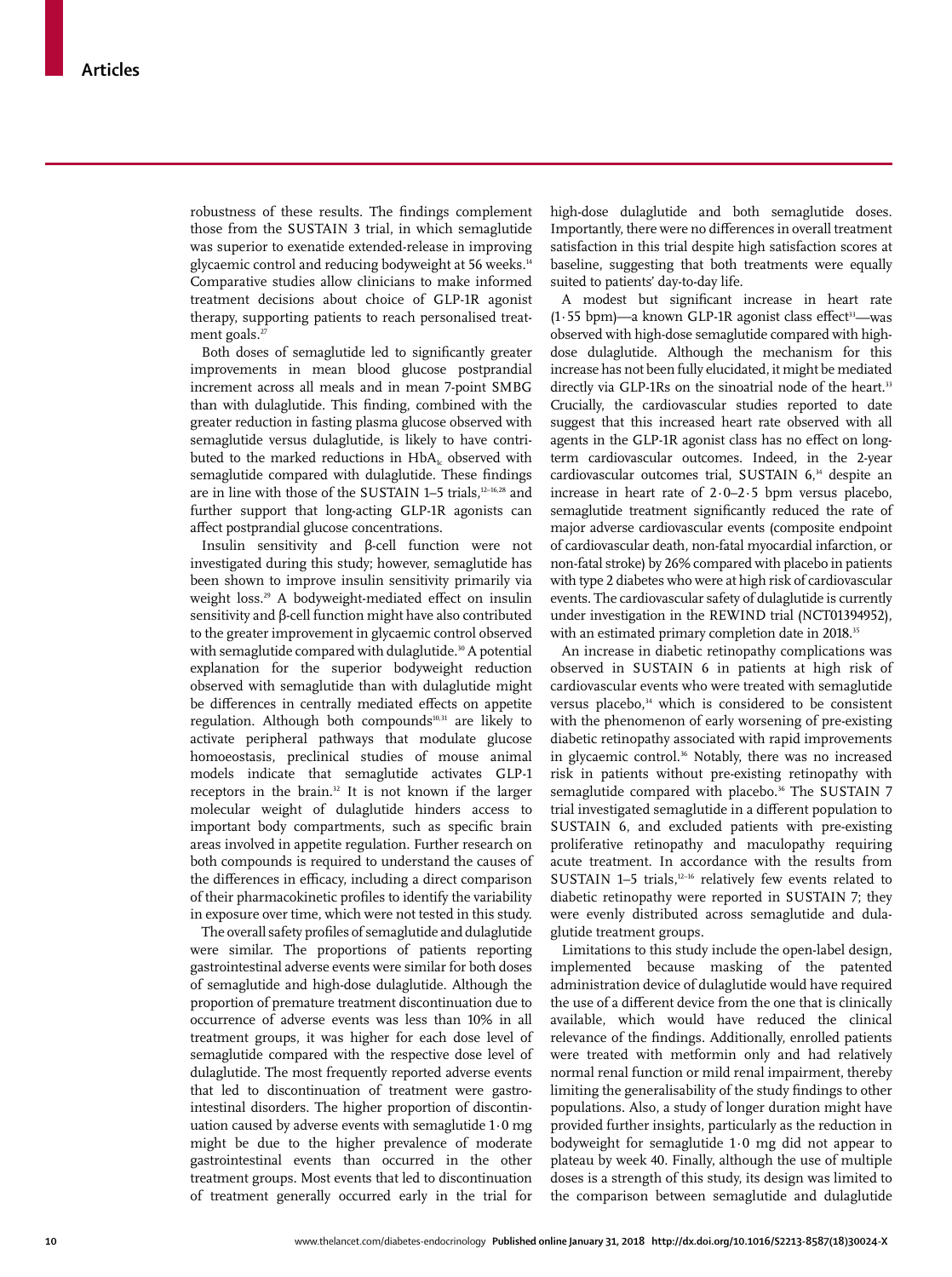robustness of these results. The findings complement those from the SUSTAIN 3 trial, in which semaglutide was superior to exenatide extended-release in improving glycaemic control and reducing bodyweight at 56 weeks.<sup>14</sup> Comparative studies allow clinicians to make informed treatment decisions about choice of GLP-1R agonist therapy, supporting patients to reach personalised treatment goals. $^{2}$ 

Both doses of semaglutide led to significantly greater improvements in mean blood glucose postprandial increment across all meals and in mean 7-point SMBG than with dulaglutide. This finding, combined with the greater reduction in fasting plasma glucose observed with semaglutide versus dulaglutide, is likely to have contributed to the marked reductions in  $HbA_1$  observed with semaglutide compared with dulaglutide. These findings are in line with those of the SUSTAIN 1-5 trials,<sup>12-16,28</sup> and further support that long-acting GLP-1R agonists can affect postprandial glucose concentrations.

Insulin sensitivity and β-cell function were not investigated during this study; however, semaglutide has been shown to improve insulin sensitivity primarily via weight loss.<sup>29</sup> A bodyweight-mediated effect on insulin sensitivity and β-cell function might have also contributed to the greater improvement in glycaemic control observed with semaglutide compared with dulaglutide.<sup>30</sup> A potential explanation for the superior bodyweight reduction observed with semaglutide than with dulaglutide might be differences in centrally mediated effects on appetite regulation. Although both compounds<sup>10,31</sup> are likely to activate peripheral pathways that modulate glucose homoeostasis, preclinical studies of mouse animal models indicate that semaglutide activates GLP-1 receptors in the brain.<sup>32</sup> It is not known if the larger molecular weight of dulaglutide hinders access to important body compartments, such as specific brain areas involved in appetite regulation. Further research on both compounds is required to understand the causes of the differences in efficacy, including a direct comparison of their pharmacokinetic profiles to identify the variability in exposure over time, which were not tested in this study.

The overall safety profiles of semaglutide and dulaglutide were similar. The proportions of patients reporting gastrointestinal adverse events were similar for both doses of semaglutide and high-dose dulaglutide. Although the proportion of premature treatment discontinuation due to occurrence of adverse events was less than 10% in all treatment groups, it was higher for each dose level of semaglutide compared with the respective dose level of dulaglutide. The most frequently reported adverse events that led to discontinuation of treatment were gastrointestinal disorders. The higher proportion of discontinuation caused by adverse events with semaglutide 1·0 mg might be due to the higher prevalence of moderate gastrointestinal events than occurred in the other treatment groups. Most events that led to discontinuation of treatment generally occurred early in the trial for high-dose dulaglutide and both semaglutide doses. Importantly, there were no differences in overall treatment satisfaction in this trial despite high satisfaction scores at baseline, suggesting that both treatments were equally suited to patients' day-to-day life.

A modest but significant increase in heart rate  $(1.55$  bpm)—a known GLP-1R agonist class effect<sup>33</sup>—was observed with high-dose semaglutide compared with highdose dulaglutide. Although the mechanism for this increase has not been fully elucidated, it might be mediated directly via GLP-1Rs on the sinoatrial node of the heart.<sup>33</sup> Crucially, the cardiovascular studies reported to date suggest that this increased heart rate observed with all agents in the GLP-1R agonist class has no effect on longterm cardiovascular outcomes. Indeed, in the 2-year cardiovascular outcomes trial, SUSTAIN 6,<sup>34</sup> despite an increase in heart rate of 2·0–2·5 bpm versus placebo, semaglutide treatment significantly reduced the rate of major adverse cardiovascular events (composite endpoint of cardiovascular death, non-fatal myocardial infarction, or non-fatal stroke) by 26% compared with placebo in patients with type 2 diabetes who were at high risk of cardiovascular events. The cardiovascular safety of dulaglutide is currently under investigation in the REWIND trial (NCT01394952), with an estimated primary completion date in 2018.<sup>35</sup>

An increase in diabetic retinopathy complications was observed in SUSTAIN 6 in patients at high risk of cardiovascular events who were treated with semaglutide versus placebo,<sup>34</sup> which is considered to be consistent with the phenomenon of early worsening of pre-existing diabetic retinopathy associated with rapid improvements in glycaemic control.<sup>36</sup> Notably, there was no increased risk in patients without pre-existing retinopathy with semaglutide compared with placebo.<sup>36</sup> The SUSTAIN 7 trial investigated semaglutide in a different population to SUSTAIN 6, and excluded patients with pre-existing proliferative retinopathy and maculopathy requiring acute treatment. In accordance with the results from SUSTAIN 1-5 trials, $12-16$  relatively few events related to diabetic retinopathy were reported in SUSTAIN 7; they were evenly distributed across semaglutide and dulaglutide treatment groups.

Limitations to this study include the open-label design, implemented because masking of the patented administration device of dulaglutide would have required the use of a different device from the one that is clinically available, which would have reduced the clinical relevance of the findings. Additionally, enrolled patients were treated with metformin only and had relatively normal renal function or mild renal impairment, thereby limiting the generalisability of the study findings to other populations. Also, a study of longer duration might have provided further insights, particularly as the reduction in bodyweight for semaglutide 1·0 mg did not appear to plateau by week 40. Finally, although the use of multiple doses is a strength of this study, its design was limited to the comparison between semaglutide and dulaglutide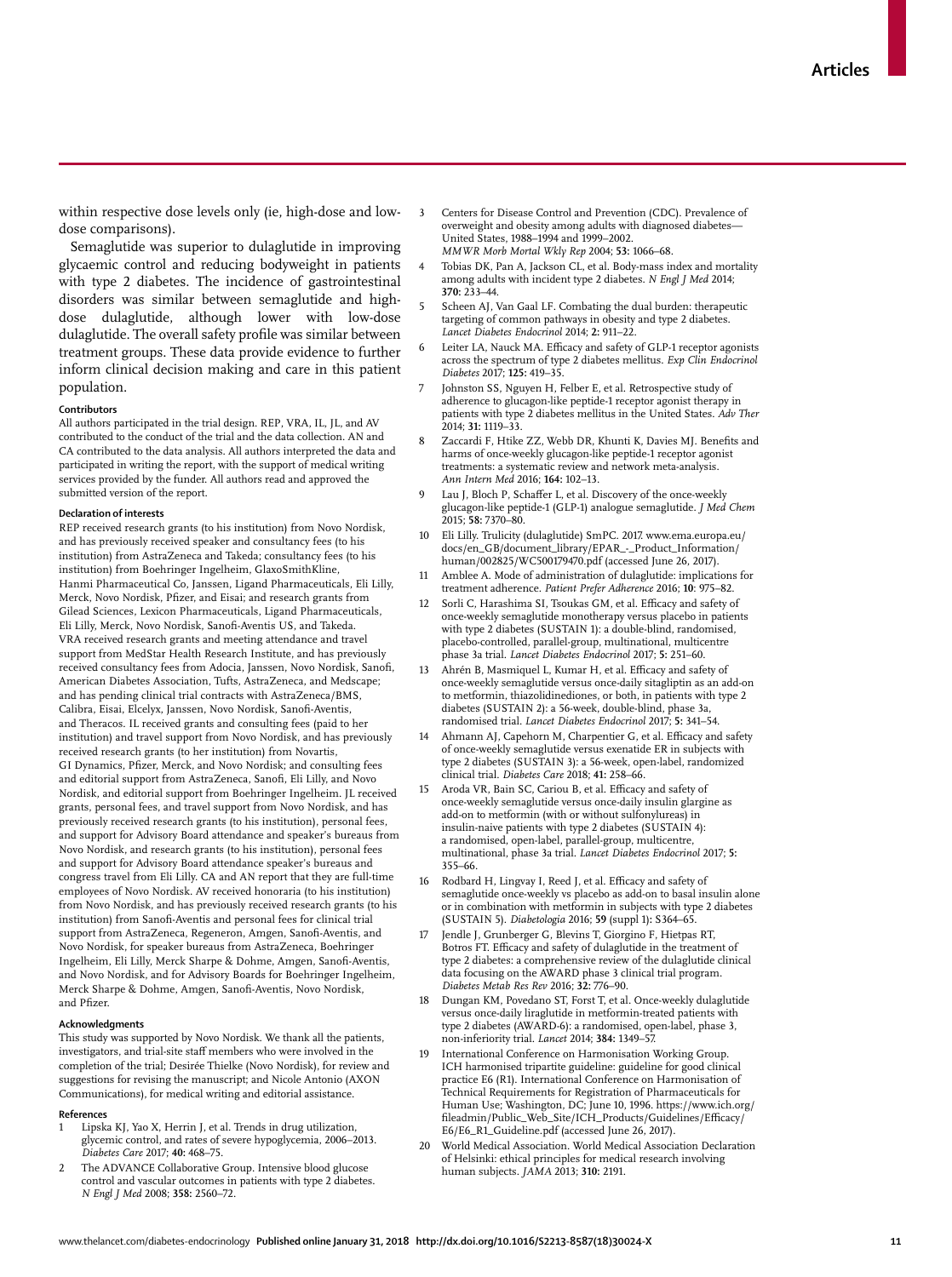within respective dose levels only (ie, high-dose and lowdose comparisons).

Semaglutide was superior to dulaglutide in improving glycaemic control and reducing bodyweight in patients with type 2 diabetes. The incidence of gastrointestinal disorders was similar between semaglutide and highdose dulaglutide, although lower with low-dose dulaglutide. The overall safety profile was similar between treatment groups. These data provide evidence to further inform clinical decision making and care in this patient population.

**Contributors**

All authors participated in the trial design. REP, VRA, IL, JL, and AV contributed to the conduct of the trial and the data collection. AN and CA contributed to the data analysis. All authors interpreted the data and participated in writing the report, with the support of medical writing services provided by the funder. All authors read and approved the submitted version of the report.

#### **Declaration of interests**

REP received research grants (to his institution) from Novo Nordisk, and has previously received speaker and consultancy fees (to his institution) from AstraZeneca and Takeda; consultancy fees (to his institution) from Boehringer Ingelheim, GlaxoSmithKline, Hanmi Pharmaceutical Co, Janssen, Ligand Pharmaceuticals, Eli Lilly, Merck, Novo Nordisk, Pfizer, and Eisai; and research grants from Gilead Sciences, Lexicon Pharmaceuticals, Ligand Pharmaceuticals, Eli Lilly, Merck, Novo Nordisk, Sanofi-Aventis US, and Takeda. VRA received research grants and meeting attendance and travel support from MedStar Health Research Institute, and has previously received consultancy fees from Adocia, Janssen, Novo Nordisk, Sanofi, American Diabetes Association, Tufts, AstraZeneca, and Medscape; and has pending clinical trial contracts with AstraZeneca/BMS, Calibra, Eisai, Elcelyx, Janssen, Novo Nordisk, Sanofi-Aventis, and Theracos. IL received grants and consulting fees (paid to her institution) and travel support from Novo Nordisk, and has previously received research grants (to her institution) from Novartis, GI Dynamics, Pfizer, Merck, and Novo Nordisk; and consulting fees and editorial support from AstraZeneca, Sanofi, Eli Lilly, and Novo Nordisk, and editorial support from Boehringer Ingelheim. JL received grants, personal fees, and travel support from Novo Nordisk, and has previously received research grants (to his institution), personal fees, and support for Advisory Board attendance and speaker's bureaus from Novo Nordisk, and research grants (to his institution), personal fees and support for Advisory Board attendance speaker's bureaus and congress travel from Eli Lilly. CA and AN report that they are full-time employees of Novo Nordisk. AV received honoraria (to his institution) from Novo Nordisk, and has previously received research grants (to his institution) from Sanofi-Aventis and personal fees for clinical trial support from AstraZeneca, Regeneron, Amgen, Sanofi-Aventis, and Novo Nordisk, for speaker bureaus from AstraZeneca, Boehringer Ingelheim, Eli Lilly, Merck Sharpe & Dohme, Amgen, Sanofi-Aventis, and Novo Nordisk, and for Advisory Boards for Boehringer Ingelheim, Merck Sharpe & Dohme, Amgen, Sanofi-Aventis, Novo Nordisk, and Pfizer.

#### **Acknowledgments**

This study was supported by Novo Nordisk. We thank all the patients, investigators, and trial-site staff members who were involved in the completion of the trial; Desirée Thielke (Novo Nordisk), for review and suggestions for revising the manuscript; and Nicole Antonio (AXON Communications), for medical writing and editorial assistance.

#### **References**

- Lipska KJ, Yao X, Herrin J, et al. Trends in drug utilization, glycemic control, and rates of severe hypoglycemia, 2006–2013. *Diabetes Care* 2017; **40:** 468–75.
- 2 The ADVANCE Collaborative Group. Intensive blood glucose control and vascular outcomes in patients with type 2 diabetes. *N Engl J Med* 2008; **358:** 2560–72.
- 3 Centers for Disease Control and Prevention (CDC). Prevalence of overweight and obesity among adults with diagnosed diabetes— United States, 1988–1994 and 1999–2002. *MMWR Morb Mortal Wkly Rep* 2004; **53:** 1066–68.
- 4 Tobias DK, Pan A, Jackson CL, et al. Body-mass index and mortality among adults with incident type 2 diabetes. *N Engl J Med* 2014; **370:** 233–44.
- 5 Scheen AJ, Van Gaal LF. Combating the dual burden: therapeutic targeting of common pathways in obesity and type 2 diabetes. *Lancet Diabetes Endocrinol* 2014; **2:** 911–22.
- Leiter LA, Nauck MA. Efficacy and safety of GLP-1 receptor agonists across the spectrum of type 2 diabetes mellitus. *Exp Clin Endocrinol Diabetes* 2017; **125:** 419–35.
- Johnston SS, Nguyen H, Felber E, et al. Retrospective study of adherence to glucagon-like peptide-1 receptor agonist therapy in patients with type 2 diabetes mellitus in the United States. *Adv Ther* 2014; **31:** 1119–33.
- 8 Zaccardi F, Htike ZZ, Webb DR, Khunti K, Davies MJ. Benefits and harms of once-weekly glucagon-like peptide-1 receptor agonist treatments: a systematic review and network meta-analysis. *Ann Intern Med* 2016; **164:** 102–13.
- 9 Lau J, Bloch P, Schaffer L, et al. Discovery of the once-weekly glucagon-like peptide-1 (GLP-1) analogue semaglutide. *J Med Chem* 2015; **58:** 7370–80.
- 10 Eli Lilly. Trulicity (dulaglutide) SmPC. 2017. www.ema.europa.eu/ docs/en\_GB/document\_library/EPAR\_-\_Product\_Information/ human/002825/WC500179470.pdf (accessed June 26, 2017).
- Amblee A. Mode of administration of dulaglutide: implications for treatment adherence. *Patient Prefer Adherence* 2016; **10**: 975–82.
- Sorli C, Harashima SI, Tsoukas GM, et al. Efficacy and safety of once-weekly semaglutide monotherapy versus placebo in patients with type 2 diabetes (SUSTAIN 1): a double-blind, randomised, placebo-controlled, parallel-group, multinational, multicentre phase 3a trial. *Lancet Diabetes Endocrinol* 2017; **5:** 251–60.
- Ahrén B, Masmiquel L, Kumar H, et al. Efficacy and safety of once-weekly semaglutide versus once-daily sitagliptin as an add-on to metformin, thiazolidinediones, or both, in patients with type 2 diabetes (SUSTAIN 2): a 56-week, double-blind, phase 3a, randomised trial. *Lancet Diabetes Endocrinol* 2017; **5:** 341–54.
- Ahmann AJ, Capehorn M, Charpentier G, et al. Efficacy and safety of once-weekly semaglutide versus exenatide ER in subjects with type 2 diabetes (SUSTAIN 3): a 56-week, open-label, randomized clinical trial. *Diabetes Care* 2018; **41:** 258–66.
- 15 Aroda VR, Bain SC, Cariou B, et al. Efficacy and safety of once-weekly semaglutide versus once-daily insulin glargine as add-on to metformin (with or without sulfonylureas) in insulin-naive patients with type 2 diabetes (SUSTAIN 4): a randomised, open-label, parallel-group, multicentre, multinational, phase 3a trial. *Lancet Diabetes Endocrinol* 2017; **5:** 355–66.
- Rodbard H, Lingvay I, Reed J, et al. Efficacy and safety of semaglutide once-weekly vs placebo as add-on to basal insulin alone or in combination with metformin in subjects with type 2 diabetes (SUSTAIN 5). *Diabetologia* 2016; **59** (suppl 1)**:** S364–65.
- Jendle J, Grunberger G, Blevins T, Giorgino F, Hietpas RT, Botros FT. Efficacy and safety of dulaglutide in the treatment of type 2 diabetes: a comprehensive review of the dulaglutide clinical data focusing on the AWARD phase 3 clinical trial program. *Diabetes Metab Res Rev* 2016; **32:** 776–90.
- 18 Dungan KM, Povedano ST, Forst T, et al. Once-weekly dulaglutide versus once-daily liraglutide in metformin-treated patients with type 2 diabetes (AWARD-6): a randomised, open-label, phase 3, non-inferiority trial. *Lancet* 2014; **384:** 1349–57.
- 19 International Conference on Harmonisation Working Group. ICH harmonised tripartite guideline: guideline for good clinical practice E6 (R1). International Conference on Harmonisation of Technical Requirements for Registration of Pharmaceuticals for Human Use; Washington, DC; June 10, 1996. https://www.ich.org/ fileadmin/Public\_Web\_Site/ICH\_Products/Guidelines/Efficacy/ E6/E6\_R1\_Guideline.pdf (accessed June 26, 2017).
- 20 World Medical Association. World Medical Association Declaration of Helsinki: ethical principles for medical research involving human subjects. *JAMA* 2013; **310:** 2191.